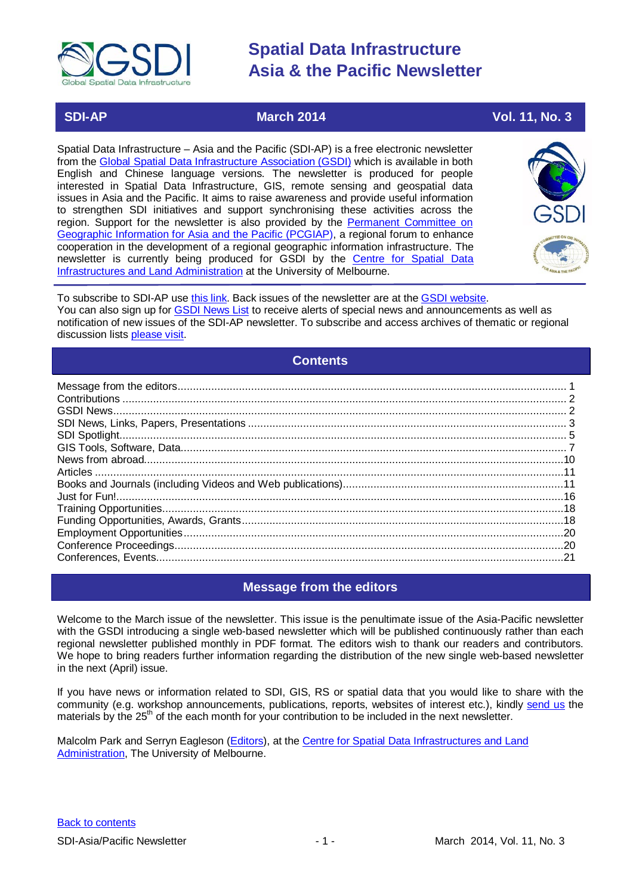

 **SDI-AP March 2014 March** 2014 **Vol. 11, No. 3** 

Spatial Data Infrastructure – Asia and the Pacific (SDI-AP) is a free electronic newsletter from the [Global Spatial Data Infrastructure Association \(GSDI\)](http://www.gsdi.org/) which is available in both English and Chinese language versions. The newsletter is produced for people interested in Spatial Data Infrastructure, GIS, remote sensing and geospatial data issues in Asia and the Pacific. It aims to raise awareness and provide useful information to strengthen SDI initiatives and support synchronising these activities across the region. Support for the newsletter is also provided by the Permanent Committee on [Geographic Information for Asia and](http://www.pcgiap.org/) the Pacific (PCGIAP), a regional forum to enhance cooperation in the development of a regional geographic information infrastructure. The newsletter is currently being produced for GSDI by the [Centre for Spatial Data](http://www.csdila.unimelb.edu.au/)  [Infrastructures and Land Administration](http://www.csdila.unimelb.edu.au/) at the University of Melbourne.



To subscribe to SDI-AP use [this link.](http://www.gsdi.org/newslist/gsdisubscribe.asp) Back issues of the newsletter are at the [GSDI website.](http://www.gsdi.org/newsletters.asp) You can also sign up for [GSDI News List](http://www.gsdi.org/newslist/gsdisubscribe.asp) to receive alerts of special news and announcements as well as notification of new issues of the SDI-AP newsletter. To subscribe and access archives of thematic or regional discussion lists [please visit.](http://www.gsdi.org/discussionlists.asp)

# **Contents**

<span id="page-0-0"></span>

# **Message from the editors**

<span id="page-0-1"></span>Welcome to the March issue of the newsletter. This issue is the penultimate issue of the Asia-Pacific newsletter with the GSDI introducing a single web-based newsletter which will be published continuously rather than each regional newsletter published monthly in PDF format. The editors wish to thank our readers and contributors. We hope to bring readers further information regarding the distribution of the new single web-based newsletter in the next (April) issue.

If you have news or information related to SDI, GIS, RS or spatial data that you would like to share with the community (e.g. workshop announcements, publications, reports, websites of interest etc.), kindly [send us](mailto:.SDI-AP@gsdi.org) the materials by the 25<sup>th</sup> of the each month for your contribution to be included in the next newsletter.

Malcolm Park and Serryn Eagleson [\(Editors\)](mailto:Editor.SDIAP@gmail.com), at the [Centre for Spatial Data Infrastructures and Land](http://www.csdila.unimelb.edu.au/)  [Administration,](http://www.csdila.unimelb.edu.au/) The University of Melbourne.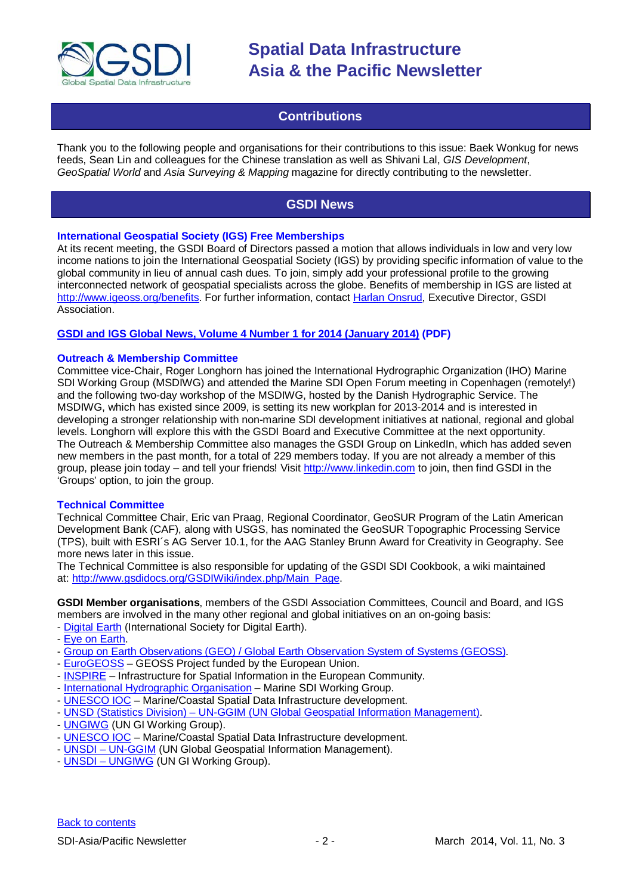

# **Contributions**

<span id="page-1-0"></span>Thank you to the following people and organisations for their contributions to this issue: Baek Wonkug for news feeds, Sean Lin and colleagues for the Chinese translation as well as Shivani Lal, *GIS Development*, *GeoSpatial World* and *Asia Surveying & Mapping* magazine for directly contributing to the newsletter.

# **GSDI News**

# <span id="page-1-1"></span>**International Geospatial Society (IGS) Free Memberships**

At its recent meeting, the GSDI Board of Directors passed a motion that allows individuals in low and very low income nations to join the International Geospatial Society (IGS) by providing specific information of value to the global community in lieu of annual cash dues. To join, simply add your professional profile to the growing interconnected network of geospatial specialists across the globe. Benefits of membership in IGS are listed at [http://www.igeoss.org/benefits.](https://owa.unimelb.edu.au/owa/redir.aspx?C=54c2b4d3973d480282dc7c38384f4204&URL=http%3a%2f%2fwww.igeoss.org%2fbenefits) For further information, contact [Harlan Onsrud,](mailto:onsrud@gsdi.org) Executive Director, GSDI Association.

# **[GSDI and IGS Global News, Volume 4 Number 1 for 2014 \(January 2014\)](http://www.gsdi.org/newsletters#GSDI) (PDF)**

# **Outreach & Membership Committee**

Committee vice-Chair, Roger Longhorn has joined the International Hydrographic Organization (IHO) Marine SDI Working Group (MSDIWG) and attended the Marine SDI Open Forum meeting in Copenhagen (remotely!) and the following two-day workshop of the MSDIWG, hosted by the Danish Hydrographic Service. The MSDIWG, which has existed since 2009, is setting its new workplan for 2013-2014 and is interested in developing a stronger relationship with non-marine SDI development initiatives at national, regional and global levels. Longhorn will explore this with the GSDI Board and Executive Committee at the next opportunity. The Outreach & Membership Committee also manages the GSDI Group on LinkedIn, which has added seven new members in the past month, for a total of 229 members today. If you are not already a member of this group, please join today – and tell your friends! Visit [http://www.linkedin.com](https://owa.unimelb.edu.au/owa/redir.aspx?C=rDg2dzQe3UKfwin28aspI4dcf2EJ4c8IKc_jDEPg91nlCdVQBzUX28or6ioXGu07OXWheK19Jyk.&URL=http%3a%2f%2fwww.linkedin.com) to join, then find GSDI in the 'Groups' option, to join the group.

### **Technical Committee**

Technical Committee Chair, Eric van Praag, Regional Coordinator, GeoSUR Program of the Latin American Development Bank (CAF), along with USGS, has nominated the GeoSUR Topographic Processing Service (TPS), built with ESRI´s AG Server 10.1, for the AAG Stanley Brunn Award for Creativity in Geography. See more news later in this issue.

The Technical Committee is also responsible for updating of the GSDI SDI Cookbook, a wiki maintained at: [http://www.gsdidocs.org/GSDIWiki/index.php/Main\\_Page.](https://owa.unimelb.edu.au/owa/redir.aspx?C=rDg2dzQe3UKfwin28aspI4dcf2EJ4c8IKc_jDEPg91nlCdVQBzUX28or6ioXGu07OXWheK19Jyk.&URL=http%3a%2f%2fwww.gsdidocs.org%2fGSDIWiki%2findex.php%2fMain_Page)

**GSDI Member organisations**, members of the GSDI Association Committees, Council and Board, and IGS members are involved in the many other regional and global initiatives on an on-going basis: - [Digital Earth](http://www.digitalearth-isde.org/) (International Society for Digital Earth).

- [Eye on Earth.](http://www.eyeonearth.org/)
- [Group on Earth Observations \(GEO\) / Global Earth Observation System of Systems \(GEOSS\).](http://www.earthobservations.org/)
- [EuroGEOSS](http://www.eurogeoss.eu/default.aspx) GEOSS Project funded by the European Union.
- [INSPIRE](http://www.inspire.jrc.ec.europa.eu/) Infrastructure for Spatial Information in the European Community.
- [International Hydrographic Organisation](http://www.iho.int/) Marine SDI Working Group.
- [UNESCO IOC](http://www.iode.org/) Marine/Coastal Spatial Data Infrastructure development.
- UNSD (Statistics Division) [UN-GGIM \(UN Global Geospatial Information Management\).](http://www.ggim.un.org/)
- [UNGIWG](http://www.ungiwg.org/) (UN GI Working Group).
- [UNESCO IOC](http://www.iode.org/) Marine/Coastal Spatial Data Infrastructure development.
- UNSDI [UN-GGIM](http://www.ggim.un.org/) (UN Global Geospatial Information Management).
- UNSDI [UNGIWG](http://www.ungiwg.org/) (UN GI Working Group).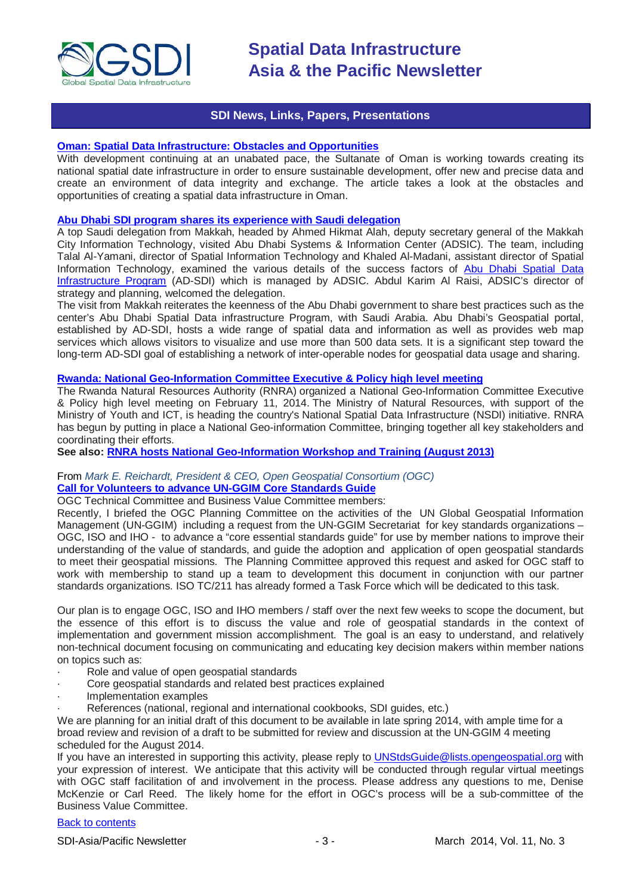

# **SDI News, Links, Papers, Presentations**

# <span id="page-2-0"></span>**[Oman: Spatial Data Infrastructure: Obstacles and Opportunities](http://geospatialworld.net/Paper/Application/ArticleView.aspx?aid=30858)**

With development continuing at an unabated pace, the Sultanate of Oman is working towards creating its national spatial date infrastructure in order to ensure sustainable development, offer new and precise data and create an environment of data integrity and exchange. The article takes a look at the obstacles and opportunities of creating a spatial data infrastructure in Oman.

#### **[Abu Dhabi SDI program shares its experience with Saudi delegation](http://www.arabnews.com/news/523886)**

A top Saudi delegation from Makkah, headed by Ahmed Hikmat Alah, deputy secretary general of the Makkah City Information Technology, visited Abu Dhabi Systems & Information Center (ADSIC). The team, including Talal Al-Yamani, director of Spatial Information Technology and Khaled Al-Madani, assistant director of Spatial Information Technology, examined the various details of the success factors of Abu Dhabi Spatial Data [Infrastructure Program](http://sdi.abudhabi.ae/Sites/SDI/Navigation/EN/root.html) (AD-SDI) which is managed by ADSIC. Abdul Karim Al Raisi, ADSIC's director of strategy and planning, welcomed the delegation.

The visit from Makkah reiterates the keenness of the Abu Dhabi government to share best practices such as the center's Abu Dhabi Spatial Data infrastructure Program, with Saudi Arabia. Abu Dhabi's Geospatial portal, established by AD-SDI, hosts a wide range of spatial data and information as well as provides web map services which allows visitors to visualize and use more than 500 data sets. It is a significant step toward the long-term AD-SDI goal of establishing a network of inter-operable nodes for geospatial data usage and sharing.

### **[Rwanda: National Geo-Information Committee Executive & Policy high level meeting](http://rnra.rw/index.php?id=51&tx_ttnews%5Btt_news%5D=160&cHash=6b7e98e87eb252e674bd0cad2d46f90c)**

The Rwanda Natural Resources Authority (RNRA) organized a National Geo-Information Committee Executive & Policy high level meeting on February 11, 2014. The Ministry of Natural Resources, with support of the Ministry of Youth and ICT, is heading the country's National Spatial Data Infrastructure (NSDI) initiative. RNRA has begun by putting in place a National Geo-information Committee, bringing together all key stakeholders and coordinating their efforts.

**See also: [RNRA hosts National Geo-Information Workshop and Training \(August 2013\)](http://rnra.rw/index.php?id=51&tx_ttnews%5Btt_news%5D=126&cHash=28f41abb47a52b6b6c465605635124d3)**

# From *Mark E. Reichardt, President & CEO, Open Geospatial Consortium (OGC)* **[Call for Volunteers to advance UN-GGIM Core Standards Guide](mailto:UNStdsGuide@lists.opengeospatial.org)**

OGC Technical Committee and Business Value Committee members:

Recently, I briefed the OGC Planning Committee on the activities of the UN Global Geospatial Information Management (UN-GGIM) including a request from the UN-GGIM Secretariat for key standards organizations – OGC, ISO and IHO - to advance a "core essential standards guide" for use by member nations to improve their understanding of the value of standards, and guide the adoption and application of open geospatial standards to meet their geospatial missions. The Planning Committee approved this request and asked for OGC staff to work with membership to stand up a team to development this document in conjunction with our partner standards organizations. ISO TC/211 has already formed a Task Force which will be dedicated to this task.

Our plan is to engage OGC, ISO and IHO members / staff over the next few weeks to scope the document, but the essence of this effort is to discuss the value and role of geospatial standards in the context of implementation and government mission accomplishment. The goal is an easy to understand, and relatively non-technical document focusing on communicating and educating key decision makers within member nations on topics such as:

- Role and value of open geospatial standards
- Core geospatial standards and related best practices explained
- · Implementation examples
- References (national, regional and international cookbooks, SDI guides, etc.)

We are planning for an initial draft of this document to be available in late spring 2014, with ample time for a broad review and revision of a draft to be submitted for review and discussion at the UN-GGIM 4 meeting scheduled for the August 2014.

If you have an interested in supporting this activity, please reply to [UNStdsGuide@lists.opengeospatial.org](mailto:UNStdsGuide@lists.opengeospatial.org) with your expression of interest. We anticipate that this activity will be conducted through regular virtual meetings with OGC staff facilitation of and involvement in the process. Please address any questions to me, Denise McKenzie or Carl Reed. The likely home for the effort in OGC's process will be a sub-committee of the Business Value Committee.

# [Back to contents](#page-0-0)

SDI-Asia/Pacific Newsletter 1992 12:3 - 3 - March 2014, Vol. 11, No. 3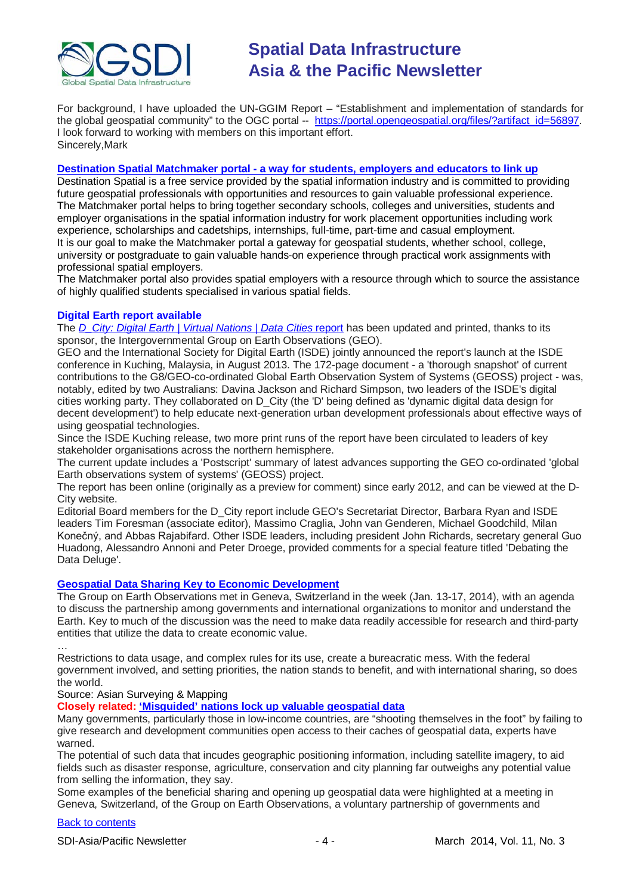

For background, I have uploaded the UN-GGIM Report – "Establishment and implementation of standards for the global geospatial community" to the OGC portal -- [https://portal.opengeospatial.org/files/?artifact\\_id=56897.](https://portal.opengeospatial.org/files/?artifact_id=56897) I look forward to working with members on this important effort. Sincerely,Mark

### **Destination Spatial Matchmaker portal - [a way for students, employers and educators to link up](http://www.destinationspatial-matchmaker.org/index.htm)**

Destination Spatial is a free service provided by the spatial information industry and is committed to providing future geospatial professionals with opportunities and resources to gain valuable professional experience. The Matchmaker portal helps to bring together secondary schools, colleges and universities, students and employer organisations in the spatial information industry for work placement opportunities including work experience, scholarships and cadetships, internships, full-time, part-time and casual employment. It is our goal to make the Matchmaker portal a gateway for geospatial students, whether school, college, university or postgraduate to gain valuable hands-on experience through practical work assignments with professional spatial employers.

The Matchmaker portal also provides spatial employers with a resource through which to source the assistance of highly qualified students specialised in various spatial fields.

# **Digital Earth report available**

The *[D\\_City: Digital Earth | Virtual Nations | Data Cities](http://dcitynetwork.net/manifesto)* report has been updated and printed, thanks to its sponsor, the Intergovernmental Group on Earth Observations (GEO).

GEO and the International Society for Digital Earth (ISDE) jointly announced the report's launch at the ISDE conference in Kuching, Malaysia, in August 2013. The 172-page document - a 'thorough snapshot' of current contributions to the G8/GEO-co-ordinated Global Earth Observation System of Systems (GEOSS) project - was, notably, edited by two Australians: Davina Jackson and Richard Simpson, two leaders of the ISDE's digital cities working party. They collaborated on D\_City (the 'D' being defined as 'dynamic digital data design for decent development') to help educate next-generation urban development professionals about effective ways of using geospatial technologies.

Since the ISDE Kuching release, two more print runs of the report have been circulated to leaders of key stakeholder organisations across the northern hemisphere.

The current update includes a 'Postscript' summary of latest advances supporting the GEO co-ordinated 'global Earth observations system of systems' (GEOSS) project.

The report has been online (originally as a preview for comment) since early 2012, and can be viewed at the D-City website.

Editorial Board members for the D\_City report include GEO's Secretariat Director, Barbara Ryan and ISDE leaders Tim Foresman (associate editor), Massimo Craglia, John van Genderen, Michael Goodchild, Milan Konečný, and Abbas Rajabifard. Other ISDE leaders, including president John Richards, secretary general Guo Huadong, Alessandro Annoni and Peter Droege, provided comments for a special feature titled 'Debating the Data Deluge'.

# **[Geospatial Data Sharing Key to Economic Development](http://www.asmmag.com/2012-12-30-14-40-18/feature/6214-geospatial-data-sharing-key-to-economic-development.html)**

The Group on Earth Observations met in Geneva, Switzerland in the week (Jan. 13-17, 2014), with an agenda to discuss the partnership among governments and international organizations to monitor and understand the Earth. Key to much of the discussion was the need to make data readily accessible for research and third-party entities that utilize the data to create economic value.

… Restrictions to data usage, and complex rules for its use, create a bureacratic mess. With the federal government involved, and setting priorities, the nation stands to benefit, and with international sharing, so does the world.

Source: Asian Surveying & Mapping

**Closely related: ['Misguided' nations lock up valuable geospatial data](http://www.scidev.net/global/data/news/misguided-nations-lock-up-valuable-geospatial-data.html)**

Many governments, particularly those in low-income countries, are "shooting themselves in the foot" by failing to give research and development communities open access to their caches of geospatial data, experts have warned.

The potential of such data that incudes geographic positioning information, including satellite imagery, to aid fields such as disaster response, agriculture, conservation and city planning far outweighs any potential value from selling the information, they say.

Some examples of the beneficial sharing and opening up geospatial data were highlighted at a meeting in Geneva, Switzerland, of the Group on Earth Observations, a voluntary partnership of governments and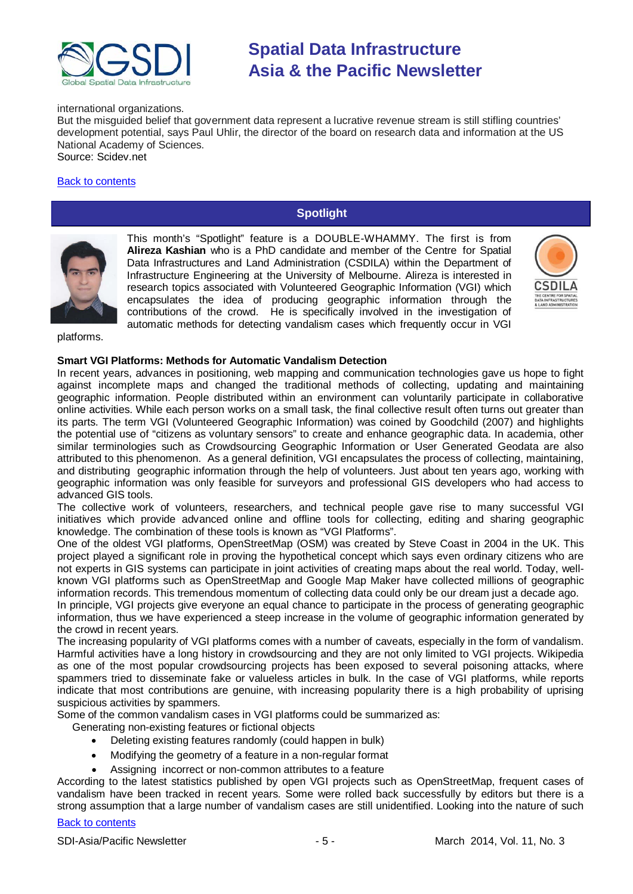

#### international organizations.

But the misguided belief that government data represent a lucrative revenue stream is still stifling countries' development potential, says Paul Uhlir, the director of the board on research data and information at the US National Academy of Sciences. Source: Scidev.net

# <span id="page-4-0"></span>[Back to contents](#page-0-0)

# **Spotlight**



This month's "Spotlight" feature is a DOUBLE-WHAMMY. The first is from **Alireza Kashian** who is a PhD candidate and member of the Centre for Spatial Data Infrastructures and Land Administration (CSDILA) within the Department of Infrastructure Engineering at the University of Melbourne. Alireza is interested in research topics associated with Volunteered Geographic Information (VGI) which encapsulates the idea of producing geographic information through the contributions of the crowd. He is specifically involved in the investigation of automatic methods for detecting vandalism cases which frequently occur in VGI



platforms.

### **Smart VGI Platforms: Methods for Automatic Vandalism Detection**

In recent years, advances in positioning, web mapping and communication technologies gave us hope to fight against incomplete maps and changed the traditional methods of collecting, updating and maintaining geographic information. People distributed within an environment can voluntarily participate in collaborative online activities. While each person works on a small task, the final collective result often turns out greater than its parts. The term VGI (Volunteered Geographic Information) was coined by Goodchild (2007) and highlights the potential use of "citizens as voluntary sensors" to create and enhance geographic data. In academia, other similar terminologies such as Crowdsourcing Geographic Information or User Generated Geodata are also attributed to this phenomenon. As a general definition, VGI encapsulates the process of collecting, maintaining, and distributing geographic information through the help of volunteers. Just about ten years ago, working with geographic information was only feasible for surveyors and professional GIS developers who had access to advanced GIS tools.

The collective work of volunteers, researchers, and technical people gave rise to many successful VGI initiatives which provide advanced online and offline tools for collecting, editing and sharing geographic knowledge. The combination of these tools is known as "VGI Platforms".

One of the oldest VGI platforms, OpenStreetMap (OSM) was created by Steve Coast in 2004 in the UK. This project played a significant role in proving the hypothetical concept which says even ordinary citizens who are not experts in GIS systems can participate in joint activities of creating maps about the real world. Today, wellknown VGI platforms such as OpenStreetMap and Google Map Maker have collected millions of geographic information records. This tremendous momentum of collecting data could only be our dream just a decade ago.

In principle, VGI projects give everyone an equal chance to participate in the process of generating geographic information, thus we have experienced a steep increase in the volume of geographic information generated by the crowd in recent years.

The increasing popularity of VGI platforms comes with a number of caveats, especially in the form of vandalism. Harmful activities have a long history in crowdsourcing and they are not only limited to VGI projects. Wikipedia as one of the most popular crowdsourcing projects has been exposed to several poisoning attacks, where spammers tried to disseminate fake or valueless articles in bulk. In the case of VGI platforms, while reports indicate that most contributions are genuine, with increasing popularity there is a high probability of uprising suspicious activities by spammers.

Some of the common vandalism cases in VGI platforms could be summarized as:

- Generating non-existing features or fictional objects
	- Deleting existing features randomly (could happen in bulk)
	- Modifying the geometry of a feature in a non-regular format
	- Assigning incorrect or non-common attributes to a feature

According to the latest statistics published by open VGI projects such as OpenStreetMap, frequent cases of vandalism have been tracked in recent years. Some were rolled back successfully by editors but there is a strong assumption that a large number of vandalism cases are still unidentified. Looking into the nature of such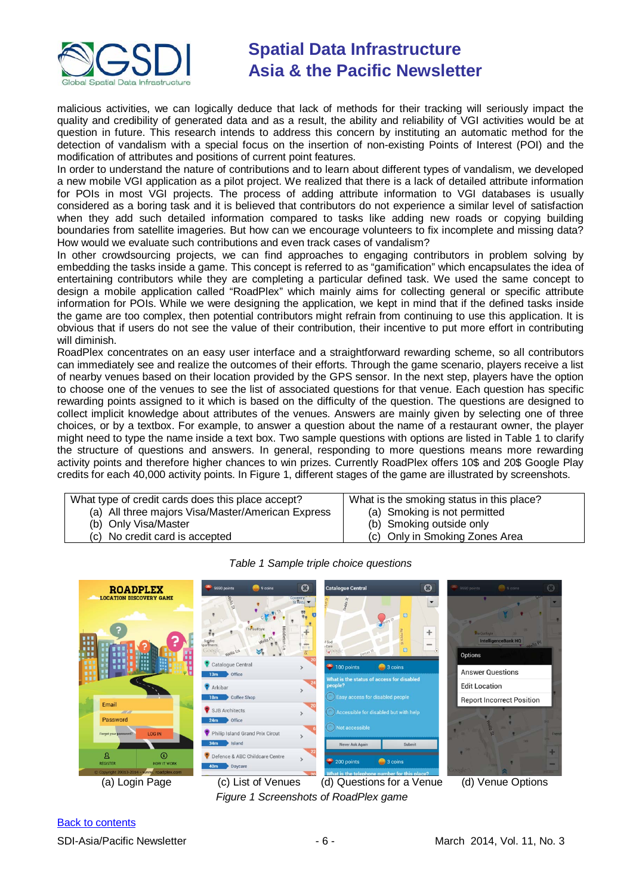

malicious activities, we can logically deduce that lack of methods for their tracking will seriously impact the quality and credibility of generated data and as a result, the ability and reliability of VGI activities would be at question in future. This research intends to address this concern by instituting an automatic method for the detection of vandalism with a special focus on the insertion of non-existing Points of Interest (POI) and the modification of attributes and positions of current point features.

In order to understand the nature of contributions and to learn about different types of vandalism, we developed a new mobile VGI application as a pilot project. We realized that there is a lack of detailed attribute information for POIs in most VGI projects. The process of adding attribute information to VGI databases is usually considered as a boring task and it is believed that contributors do not experience a similar level of satisfaction when they add such detailed information compared to tasks like adding new roads or copying building boundaries from satellite imageries. But how can we encourage volunteers to fix incomplete and missing data? How would we evaluate such contributions and even track cases of vandalism?

In other crowdsourcing projects, we can find approaches to engaging contributors in problem solving by embedding the tasks inside a game. This concept is referred to as "gamification" which encapsulates the idea of entertaining contributors while they are completing a particular defined task. We used the same concept to design a mobile application called "RoadPlex" which mainly aims for collecting general or specific attribute information for POIs. While we were designing the application, we kept in mind that if the defined tasks inside the game are too complex, then potential contributors might refrain from continuing to use this application. It is obvious that if users do not see the value of their contribution, their incentive to put more effort in contributing will diminish.

RoadPlex concentrates on an easy user interface and a straightforward rewarding scheme, so all contributors can immediately see and realize the outcomes of their efforts. Through the game scenario, players receive a list of nearby venues based on their location provided by the GPS sensor. In the next step, players have the option to choose one of the venues to see the list of associated questions for that venue. Each question has specific rewarding points assigned to it which is based on the difficulty of the question. The questions are designed to collect implicit knowledge about attributes of the venues. Answers are mainly given by selecting one of three choices, or by a textbox. For example, to answer a question about the name of a restaurant owner, the player might need to type the name inside a text box. Two sample questions with options are listed in [Table 1](#page-5-0) to clarify the structure of questions and answers. In general, responding to more questions means more rewarding activity points and therefore higher chances to win prizes. Currently RoadPlex offers 10\$ and 20\$ Google Play credits for each 40,000 activity points. In [Figure 1,](#page-5-1) different stages of the game are illustrated by screenshots.

What type of credit cards does this place accept?

- (a) All three majors Visa/Master/American Express
	- (b) Only Visa/Master (c) No credit card is accepted
- What is the smoking status in this place? (a) Smoking is not permitted
	- (b) Smoking outside only
	- (c) Only in Smoking Zones Area

<span id="page-5-0"></span>

*Table 1 Sample triple choice questions*

<span id="page-5-1"></span><sup>(</sup>a) Login Page (c) List of Venues (d) Questions for a Venue (d) Venue Options *Figure 1 Screenshots of RoadPlex game*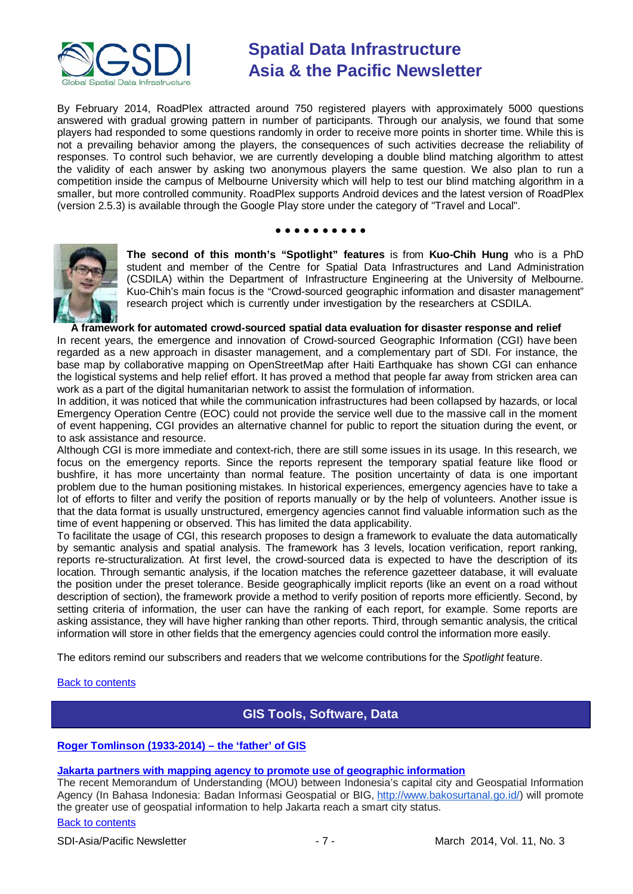

By February 2014, RoadPlex attracted around 750 registered players with approximately 5000 questions answered with gradual growing pattern in number of participants. Through our analysis, we found that some players had responded to some questions randomly in order to receive more points in shorter time. While this is not a prevailing behavior among the players, the consequences of such activities decrease the reliability of responses. To control such behavior, we are currently developing a double blind matching algorithm to attest the validity of each answer by asking two anonymous players the same question. We also plan to run a competition inside the campus of Melbourne University which will help to test our blind matching algorithm in a smaller, but more controlled community. RoadPlex supports Android devices and the latest version of RoadPlex (version 2.5.3) is available through the Google Play store under the category of "Travel and Local".

#### ● ● ● ● ● ● ● ● ● ●



**The second of this month's "Spotlight" features** is from **Kuo-Chih Hung** who is a PhD student and member of the Centre for Spatial Data Infrastructures and Land Administration (CSDILA) within the Department of Infrastructure Engineering at the University of Melbourne. Kuo-Chih's main focus is the "Crowd-sourced geographic information and disaster management" research project which is currently under investigation by the researchers at CSDILA.

### **A framework for automated crowd-sourced spatial data evaluation for disaster response and relief**

In recent years, the emergence and innovation of Crowd-sourced Geographic Information (CGI) have been regarded as a new approach in disaster management, and a complementary part of SDI. For instance, the base map by collaborative mapping on OpenStreetMap after Haiti Earthquake has shown CGI can enhance the logistical systems and help relief effort. It has proved a method that people far away from stricken area can work as a part of the digital humanitarian network to assist the formulation of information.

In addition, it was noticed that while the communication infrastructures had been collapsed by hazards, or local Emergency Operation Centre (EOC) could not provide the service well due to the massive call in the moment of event happening, CGI provides an alternative channel for public to report the situation during the event, or to ask assistance and resource.

Although CGI is more immediate and context-rich, there are still some issues in its usage. In this research, we focus on the emergency reports. Since the reports represent the temporary spatial feature like flood or bushfire, it has more uncertainty than normal feature. The position uncertainty of data is one important problem due to the human positioning mistakes. In historical experiences, emergency agencies have to take a lot of efforts to filter and verify the position of reports manually or by the help of volunteers. Another issue is that the data format is usually unstructured, emergency agencies cannot find valuable information such as the time of event happening or observed. This has limited the data applicability.

To facilitate the usage of CGI, this research proposes to design a framework to evaluate the data automatically by semantic analysis and spatial analysis. The framework has 3 levels, location verification, report ranking, reports re-structuralization. At first level, the crowd-sourced data is expected to have the description of its location. Through semantic analysis, if the location matches the reference gazetteer database, it will evaluate the position under the preset tolerance. Beside geographically implicit reports (like an event on a road without description of section), the framework provide a method to verify position of reports more efficiently. Second, by setting criteria of information, the user can have the ranking of each report, for example. Some reports are asking assistance, they will have higher ranking than other reports. Third, through semantic analysis, the critical information will store in other fields that the emergency agencies could control the information more easily.

The editors remind our subscribers and readers that we welcome contributions for the *Spotlight* feature.

### <span id="page-6-0"></span>[Back to contents](#page-0-0)

# **GIS Tools, Software, Data**

# **[Roger Tomlinson \(1933-2014\) –](http://ucgis.org/ucgis-fellow/roger-tomlinson) the 'father' of GIS**

# **[Jakarta partners with mapping agency to promote use of geographic information](http://www.futuregov.asia/articles/2014/feb/11/jakarta-partners-mapping-agency-promote-use-geospa/)**

The recent Memorandum of Understanding (MOU) between Indonesia's capital city and Geospatial Information Agency (In Bahasa Indonesia: Badan Informasi Geospatial or BIG, [http://www.bakosurtanal.go.id/\)](http://www.bakosurtanal.go.id/) will promote the greater use of geospatial information to help Jakarta reach a smart city status.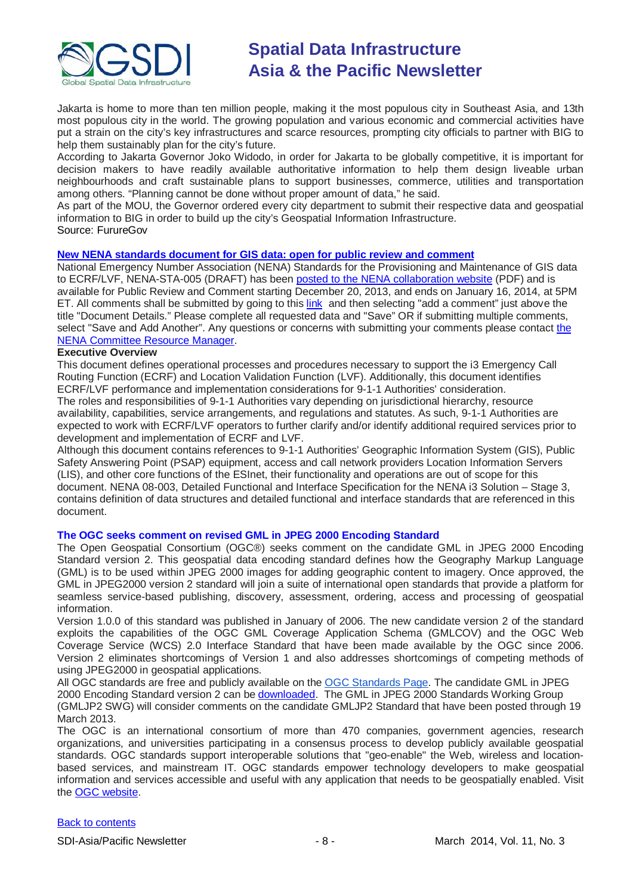

Jakarta is home to more than ten million people, making it the most populous city in Southeast Asia, and 13th most populous city in the world. The growing population and various economic and commercial activities have put a strain on the city's key infrastructures and scarce resources, prompting city officials to partner with BIG to help them sustainably plan for the city's future.

According to Jakarta Governor Joko Widodo, in order for Jakarta to be globally competitive, it is important for decision makers to have readily available authoritative information to help them design liveable urban neighbourhoods and craft sustainable plans to support businesses, commerce, utilities and transportation among others. "Planning cannot be done without proper amount of data," he said.

As part of the MOU, the Governor ordered every city department to submit their respective data and geospatial information to BIG in order to build up the city's Geospatial Information Infrastructure.

### Source: FurureGov

# **New NENA standards [document for GIS data: open for public review and comment](https://www.nena.org/news/150734/New-NENA-Standards-Document-available-for-Public-Review-and-Comment.htm)**

National Emergency Number Association (NENA) Standards for the Provisioning and Maintenance of GIS data to ECRF/LVF, NENA-STA-005 (DRAFT) has been [posted to the NENA collaboration website](http://dev.nena.org/apps/group_public/download.php/2910/20131029%20ECRF-LVF%20NENA%20STA-005%20DRAFT%20PubRvw.pdf) (PDF) and is available for Public Review and Comment starting December 20, 2013, and ends on January 16, 2014, at 5PM ET. All comments shall be submitted by going to this [link](http://dev.nena.org/apps/group_public/document.php?document_id=2910&wg_abbrev=csdm-ecrf-lvf) and then selecting "add a comment" just above the title "Document Details." Please complete all requested data and "Save" OR if submitting multiple comments, select "Save and Add Another". Any questions or concerns with submitting your comments please contact the [NENA Committee Resource Manager.](mailto:crm@nena.org)

# **Executive Overview**

This document defines operational processes and procedures necessary to support the i3 Emergency Call Routing Function (ECRF) and Location Validation Function (LVF). Additionally, this document identifies ECRF/LVF performance and implementation considerations for 9-1-1 Authorities' consideration. The roles and responsibilities of 9-1-1 Authorities vary depending on jurisdictional hierarchy, resource availability, capabilities, service arrangements, and regulations and statutes. As such, 9-1-1 Authorities are expected to work with ECRF/LVF operators to further clarify and/or identify additional required services prior to development and implementation of ECRF and LVF.

Although this document contains references to 9-1-1 Authorities' Geographic Information System (GIS), Public Safety Answering Point (PSAP) equipment, access and call network providers Location Information Servers (LIS), and other core functions of the ESInet, their functionality and operations are out of scope for this document. NENA 08-003, Detailed Functional and Interface Specification for the NENA i3 Solution – Stage 3, contains definition of data structures and detailed functional and interface standards that are referenced in this document.

### **The OGC seeks comment on revised GML in JPEG 2000 Encoding Standard**

The Open Geospatial Consortium (OGC®) seeks comment on the candidate GML in JPEG 2000 Encoding Standard version 2. This geospatial data encoding standard defines how the Geography Markup Language (GML) is to be used within JPEG 2000 images for adding geographic content to imagery. Once approved, the GML in JPEG2000 version 2 standard will join a suite of international open standards that provide a platform for seamless service-based publishing, discovery, assessment, ordering, access and processing of geospatial information.

Version 1.0.0 of this standard was published in January of 2006. The new candidate version 2 of the standard exploits the capabilities of the OGC GML Coverage Application Schema (GMLCOV) and the OGC Web Coverage Service (WCS) 2.0 Interface Standard that have been made available by the OGC since 2006. Version 2 eliminates shortcomings of Version 1 and also addresses shortcomings of competing methods of using JPEG2000 in geospatial applications.

All OGC standards are free and publicly available on the [OGC Standards Page.](http://www.opengeospatial.org/standards?utm_source=emailcampaign247&utm_medium=phpList&utm_content=HTMLemail&utm_campaign=The+OGC+seeks+comment+on+revised+GML+in+JPEG+2000+Encoding+Standard++) The candidate GML in JPEG 2000 Encoding Standard version 2 can be [downloaded.](http://www.opengeospatial.org/standards/requests/118) The GML in JPEG 2000 Standards Working Group (GMLJP2 SWG) will consider comments on the candidate GMLJP2 Standard that have been posted through 19 March 2013.

The OGC is an international consortium of more than 470 companies, government agencies, research organizations, and universities participating in a consensus process to develop publicly available geospatial standards. OGC standards support interoperable solutions that "geo-enable" the Web, wireless and locationbased services, and mainstream IT. OGC standards empower technology developers to make geospatial information and services accessible and useful with any application that needs to be geospatially enabled. Visit the [OGC website.](http://www.opengeospatial.org/contact)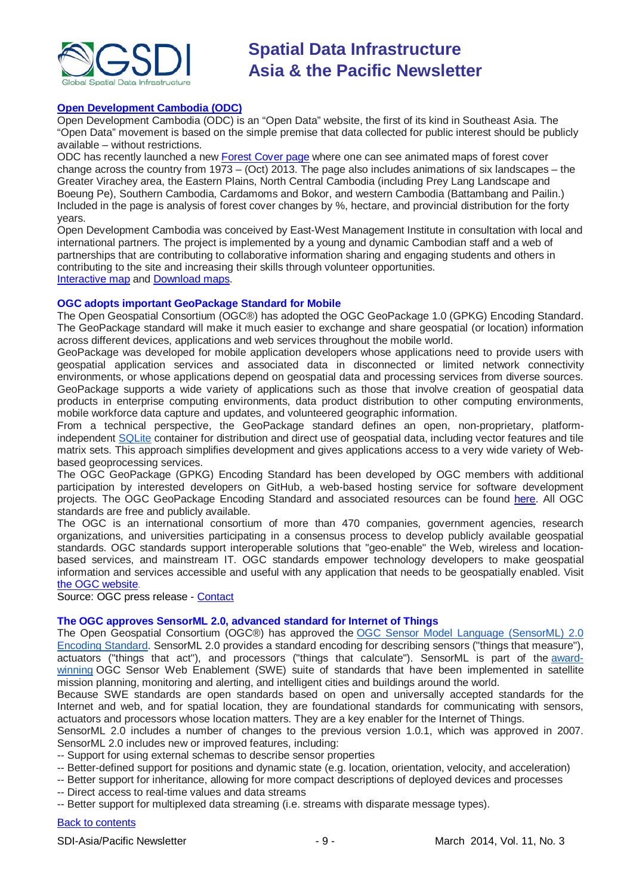

# **[Open Development Cambodia \(ODC\)](http://www.opendevelopmentcambodia.net/)**

Open Development Cambodia (ODC) is an "Open Data" website, the first of its kind in Southeast Asia. The "Open Data" movement is based on the simple premise that data collected for public interest should be publicly available – without restrictions.

ODC has recently launched a new [Forest Cover page](http://www.opendevelopmentcambodia.net/briefings/forest-cover/) where one can see animated maps of forest cover change across the country from 1973 – (Oct) 2013. The page also includes animations of six landscapes – the Greater Virachey area, the Eastern Plains, North Central Cambodia (including Prey Lang Landscape and Boeung Pe), Southern Cambodia, Cardamoms and Bokor, and western Cambodia (Battambang and Pailin.) Included in the page is analysis of forest cover changes by %, hectare, and provincial distribution for the forty years.

Open Development Cambodia was conceived by East-West Management Institute in consultation with local and international partners. The project is implemented by a young and dynamic Cambodian staff and a web of partnerships that are contributing to collaborative information sharing and engaging students and others in contributing to the site and increasing their skills through volunteer opportunities. [Interactive map](http://www.opendevelopmentcambodia.net/maps/) and [Download maps.](http://www.opendevelopmentcambodia.net/maps/downloads/)

### **OGC adopts important GeoPackage Standard for Mobile**

The Open Geospatial Consortium (OGC®) has adopted the OGC GeoPackage 1.0 (GPKG) Encoding Standard. The GeoPackage standard will make it much easier to exchange and share geospatial (or location) information across different devices, applications and web services throughout the mobile world.

GeoPackage was developed for mobile application developers whose applications need to provide users with geospatial application services and associated data in disconnected or limited network connectivity environments, or whose applications depend on geospatial data and processing services from diverse sources. GeoPackage supports a wide variety of applications such as those that involve creation of geospatial data products in enterprise computing environments, data product distribution to other computing environments, mobile workforce data capture and updates, and volunteered geographic information.

From a technical perspective, the GeoPackage standard defines an open, non-proprietary, platformindependent [SQLite](http://www.sqlite.org/?utm_source=emailcampaign246&utm_medium=phpList&utm_content=HTMLemail&utm_campaign=OGC+adopts+important+GeoPackage+Standard+for+Mobile) container for distribution and direct use of geospatial data, including vector features and tile matrix sets. This approach simplifies development and gives applications access to a very wide variety of Webbased geoprocessing services.

The OGC GeoPackage (GPKG) Encoding Standard has been developed by OGC members with additional participation by interested developers on GitHub, a web-based hosting service for software development projects. The OGC GeoPackage Encoding Standard and associated resources can be found [here.](http://www.geopackage.org/) All OGC standards are free and publicly available.

The OGC is an international consortium of more than 470 companies, government agencies, research organizations, and universities participating in a consensus process to develop publicly available geospatial standards. OGC standards support interoperable solutions that "geo-enable" the Web, wireless and locationbased services, and mainstream IT. OGC standards empower technology developers to make geospatial information and services accessible and useful with any application that needs to be geospatially enabled. Visit [the OGC website.](http://www.opengeospatial.org/contact)

Source: OGC press release - [Contact](mailto:info@opengeospatial.org)

# **The OGC approves SensorML 2.0, advanced standard for Internet of Things**

The Open Geospatial Consortium (OGC®) has approved the [OGC Sensor Model Language \(SensorML\) 2.0](http://www.opengeospatial.org/standards/sensorml?utm_source=emailcampaign251&utm_medium=phpList&utm_content=HTMLemail&utm_campaign=The+OGC+approves+SensorML+2.0%2C+advanced+standard+for+Internet+of+Things)  [Encoding Standard.](http://www.opengeospatial.org/standards/sensorml?utm_source=emailcampaign251&utm_medium=phpList&utm_content=HTMLemail&utm_campaign=The+OGC+approves+SensorML+2.0%2C+advanced+standard+for+Internet+of+Things) SensorML 2.0 provides a standard encoding for describing sensors ("things that measure"), actuators ("things that act"), and processors ("things that calculate"). SensorML is part of the [award](http://www.opengeospatial.org/node/1840?utm_source=emailcampaign251&utm_medium=phpList&utm_content=HTMLemail&utm_campaign=The+OGC+approves+SensorML+2.0%2C+advanced+standard+for+Internet+of+Things)[winning](http://www.opengeospatial.org/node/1840?utm_source=emailcampaign251&utm_medium=phpList&utm_content=HTMLemail&utm_campaign=The+OGC+approves+SensorML+2.0%2C+advanced+standard+for+Internet+of+Things) OGC Sensor Web Enablement (SWE) suite of standards that have been implemented in satellite mission planning, monitoring and alerting, and intelligent cities and buildings around the world.

Because SWE standards are open standards based on open and universally accepted standards for the Internet and web, and for spatial location, they are foundational standards for communicating with sensors, actuators and processors whose location matters. They are a key enabler for the Internet of Things.

SensorML 2.0 includes a number of changes to the previous version 1.0.1, which was approved in 2007. SensorML 2.0 includes new or improved features, including:

- -- Support for using external schemas to describe sensor properties
- -- Better-defined support for positions and dynamic state (e.g. location, orientation, velocity, and acceleration)
- -- Better support for inheritance, allowing for more compact descriptions of deployed devices and processes
- -- Direct access to real-time values and data streams

-- Better support for multiplexed data streaming (i.e. streams with disparate message types).

# [Back to contents](#page-0-0)

SDI-Asia/Pacific Newsletter 1999 - 9 - 19 - March 2014, Vol. 11, No. 3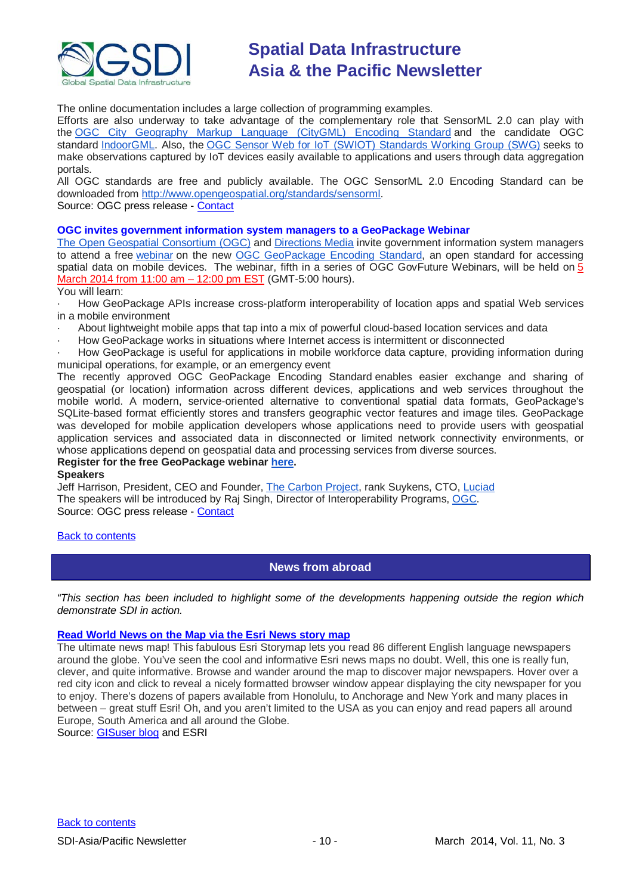

The online documentation includes a large collection of programming examples.

Efforts are also underway to take advantage of the complementary role that SensorML 2.0 can play with the [OGC City Geography Markup Language \(CityGML\) Encoding Standard](http://www.opengeospatial.org/standards/citygml?utm_source=emailcampaign251&utm_medium=phpList&utm_content=HTMLemail&utm_campaign=The+OGC+approves+SensorML+2.0%2C+advanced+standard+for+Internet+of+Things) and the candidate OGC standard [IndoorGML.](http://www.opengeospatial.org/standards/requests/117?utm_source=emailcampaign251&utm_medium=phpList&utm_content=HTMLemail&utm_campaign=The+OGC+approves+SensorML+2.0%2C+advanced+standard+for+Internet+of+Things) Also, the [OGC Sensor Web for IoT \(SWIOT\) Standards Working Group \(SWG\)](http://www.opengeospatial.org/projects/groups/sweiotswg?utm_source=emailcampaign251&utm_medium=phpList&utm_content=HTMLemail&utm_campaign=The+OGC+approves+SensorML+2.0%2C+advanced+standard+for+Internet+of+Things) seeks to make observations captured by IoT devices easily available to applications and users through data aggregation portals.

All OGC standards are free and publicly available. The OGC SensorML 2.0 Encoding Standard can be downloaded from [http://www.opengeospatial.org/standards/sensorml.](http://www.opengeospatial.org/standards/sensorml?utm_source=emailcampaign251&utm_medium=phpList&utm_content=HTMLemail&utm_campaign=The+OGC+approves+SensorML+2.0%2C+advanced+standard+for+Internet+of+Things) Source: OGC press release - [Contact](mailto:info@opengeospatial.org)

**OGC invites government information system managers to a GeoPackage Webinar** [The Open Geospatial Consortium \(OGC\)](http://www.opengeospatial.org/?utm_source=emailcampaign254&utm_medium=phpList&utm_content=HTMLemail&utm_campaign=OGC+invites+government+information+system+managers+to+a+GeoPackage+Webinar) and [Directions Media](http://www.directionsmag.com/?utm_source=emailcampaign254&utm_medium=phpList&utm_content=HTMLemail&utm_campaign=OGC+invites+government+information+system+managers+to+a+GeoPackage+Webinar) invite government information system managers to attend a free [webinar](http://www.directionsmag.com/webinars/#382140?utm_source=emailcampaign254&utm_medium=phpList&utm_content=HTMLemail&utm_campaign=OGC+invites+government+information+system+managers+to+a+GeoPackage+Webinar) on the new [OGC GeoPackage Encoding Standard,](http://www.opengeospatial.org/standards/geopackage?utm_source=emailcampaign254&utm_medium=phpList&utm_content=HTMLemail&utm_campaign=OGC+invites+government+information+system+managers+to+a+GeoPackage+Webinar) an open standard for accessing spatial data on mobile devices. The webinar, fifth in a series of OGC GovFuture Webinars, will be held on 5 March 2014 from 11:00 am – 12:00 pm EST (GMT-5:00 hours).

### You will learn:

· How GeoPackage APIs increase cross-platform interoperability of location apps and spatial Web services in a mobile environment

· About lightweight mobile apps that tap into a mix of powerful cloud-based location services and data

· How GeoPackage works in situations where Internet access is intermittent or disconnected

· How GeoPackage is useful for applications in mobile workforce data capture, providing information during municipal operations, for example, or an emergency event

The recently approved OGC GeoPackage Encoding Standard enables easier exchange and sharing of geospatial (or location) information across different devices, applications and web services throughout the mobile world. A modern, service-oriented alternative to conventional spatial data formats, GeoPackage's SQLite-based format efficiently stores and transfers geographic vector features and image tiles. GeoPackage was developed for mobile application developers whose applications need to provide users with geospatial application services and associated data in disconnected or limited network connectivity environments, or whose applications depend on geospatial data and processing services from diverse sources.

#### **Register for the free GeoPackage webinar [here.](http://www.directionsmag.com/webinars/register/learn-about-geopackage-a-new-ogc-standard-for-mobile-app-development/382140?DM_webinars_section&utm_campaign=382140&utm_source=emailcampaign254&utm_medium=phpList&utm_content=HTMLemail&utm_campaign=OGC+invites+government+information+system+managers+to+a+GeoPackage+Webinar) Speakers**

Jeff Harrison, President, CEO and Founder, [The Carbon Project,](http://thecarbonproject.azurewebsites.net/?utm_source=emailcampaign254&utm_medium=phpList&utm_content=HTMLemail&utm_campaign=OGC+invites+government+information+system+managers+to+a+GeoPackage+Webinar) rank Suykens, CTO, [Luciad](http://www.luciad.com/?utm_source=emailcampaign254&utm_medium=phpList&utm_content=HTMLemail&utm_campaign=OGC+invites+government+information+system+managers+to+a+GeoPackage+Webinar) The speakers will be introduced by Raj Singh, Director of Interoperability Programs, [OGC.](http://www.opengeospatial.org/ogc?utm_source=emailcampaign254&utm_medium=phpList&utm_content=HTMLemail&utm_campaign=OGC+invites+government+information+system+managers+to+a+GeoPackage+Webinar)

Source: OGC press release - [Contact](mailto:info@opengeospatial.org)

# <span id="page-9-0"></span>[Back to contents](#page-0-0)

# **News from abroad**

*"This section has been included to highlight some of the developments happening outside the region which demonstrate SDI in action.*

# **[Read World News on the Map via the Esri News story map](http://esripm.maps.arcgis.com/apps/MapTour/index.html?appid=9709a277bc714b97a1bfe1406023e5c2&webmap=c13b1fd7be464cdf86bf885939593e21)**

The ultimate news map! This fabulous Esri Storymap lets you read 86 different English language newspapers around the globe. You've seen the cool and informative Esri news maps no doubt. Well, this one is really fun, clever, and quite informative. Browse and wander around the map to discover major newspapers. Hover over a red city icon and click to reveal a nicely formatted browser window appear displaying the city newspaper for you to enjoy. There's dozens of papers available from Honolulu, to Anchorage and New York and many places in between – great stuff Esri! Oh, and you aren't limited to the USA as you can enjoy and read papers all around Europe, South America and all around the Globe.

Source: [GISuser blog](http://blog.gisuser.com/2014/01/09/read-world-news-on-the-map-via-the-esri-news-story-map/) and ESRI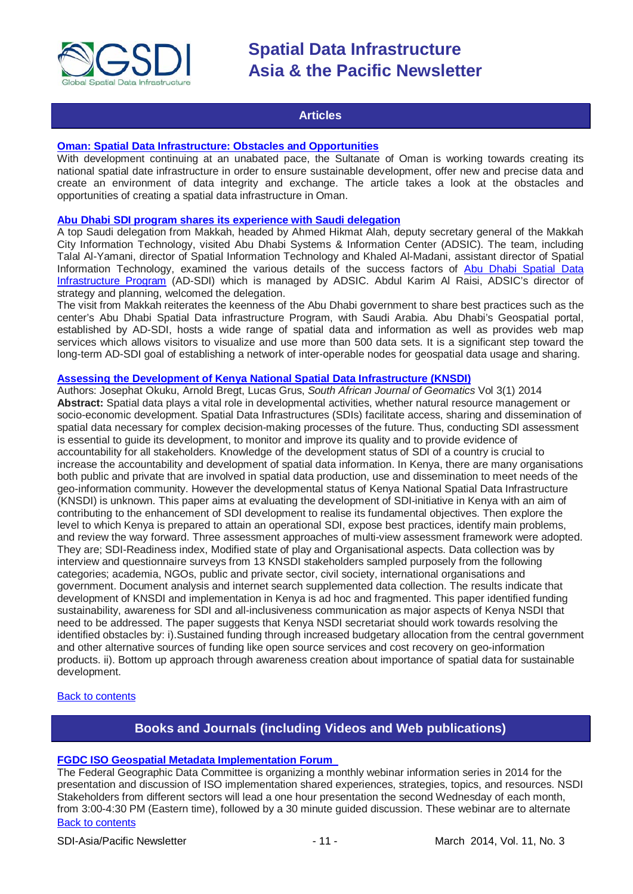

# **Articles**

### <span id="page-10-0"></span>**[Oman: Spatial Data Infrastructure: Obstacles and Opportunities](http://geospatialworld.net/Paper/Application/ArticleView.aspx?aid=30858)**

With development continuing at an unabated pace, the Sultanate of Oman is working towards creating its national spatial date infrastructure in order to ensure sustainable development, offer new and precise data and create an environment of data integrity and exchange. The article takes a look at the obstacles and opportunities of creating a spatial data infrastructure in Oman.

# **[Abu Dhabi SDI program shares its experience with Saudi delegation](http://www.arabnews.com/news/523886)**

A top Saudi delegation from Makkah, headed by Ahmed Hikmat Alah, deputy secretary general of the Makkah City Information Technology, visited Abu Dhabi Systems & Information Center (ADSIC). The team, including Talal Al-Yamani, director of Spatial Information Technology and Khaled Al-Madani, assistant director of Spatial Information Technology, examined the various details of the success factors of Abu Dhabi Spatial Data [Infrastructure Program](http://sdi.abudhabi.ae/Sites/SDI/Navigation/EN/root.html) (AD-SDI) which is managed by ADSIC. Abdul Karim Al Raisi, ADSIC's director of strategy and planning, welcomed the delegation.

The visit from Makkah reiterates the keenness of the Abu Dhabi government to share best practices such as the center's Abu Dhabi Spatial Data infrastructure Program, with Saudi Arabia. Abu Dhabi's Geospatial portal, established by AD-SDI, hosts a wide range of spatial data and information as well as provides web map services which allows visitors to visualize and use more than 500 data sets. It is a significant step toward the long-term AD-SDI goal of establishing a network of inter-operable nodes for geospatial data usage and sharing.

### **[Assessing the Development of Kenya National Spatial Data Infrastructure \(KNSDI\)](http://www.sajg.org.za/index.php/sajg/article/view/156)**

Authors: Josephat Okuku, Arnold Bregt, Lucas Grus, *South African Journal of Geomatics* Vol 3(1) 2014 **Abstract:** Spatial data plays a vital role in developmental activities, whether natural resource management or socio-economic development. Spatial Data Infrastructures (SDIs) facilitate access, sharing and dissemination of spatial data necessary for complex decision-making processes of the future. Thus, conducting SDI assessment is essential to guide its development, to monitor and improve its quality and to provide evidence of accountability for all stakeholders. Knowledge of the development status of SDI of a country is crucial to increase the accountability and development of spatial data information. In Kenya, there are many organisations both public and private that are involved in spatial data production, use and dissemination to meet needs of the geo-information community. However the developmental status of Kenya National Spatial Data Infrastructure (KNSDI) is unknown. This paper aims at evaluating the development of SDI-initiative in Kenya with an aim of contributing to the enhancement of SDI development to realise its fundamental objectives. Then explore the level to which Kenya is prepared to attain an operational SDI, expose best practices, identify main problems, and review the way forward. Three assessment approaches of multi-view assessment framework were adopted. They are; SDI-Readiness index, Modified state of play and Organisational aspects. Data collection was by interview and questionnaire surveys from 13 KNSDI stakeholders sampled purposely from the following categories; academia, NGOs, public and private sector, civil society, international organisations and government. Document analysis and internet search supplemented data collection. The results indicate that development of KNSDI and implementation in Kenya is ad hoc and fragmented. This paper identified funding sustainability, awareness for SDI and all-inclusiveness communication as major aspects of Kenya NSDI that need to be addressed. The paper suggests that Kenya NSDI secretariat should work towards resolving the identified obstacles by: i).Sustained funding through increased budgetary allocation from the central government and other alternative sources of funding like open source services and cost recovery on geo-information products. ii). Bottom up approach through awareness creation about importance of spatial data for sustainable development.

# <span id="page-10-1"></span>[Back to contents](#page-0-0)

# **Books and Journals (including Videos and Web publications)**

### **[FGDC ISO Geospatial Metadata Implementation Forum](http://www.fgdc.gov/metadata/events/iso-geospatial-metadata-implementation-forum/index_html)**

[Back to contents](#page-0-0) The Federal Geographic Data Committee is organizing a monthly webinar information series in 2014 for the presentation and discussion of ISO implementation shared experiences, strategies, topics, and resources. NSDI Stakeholders from different sectors will lead a one hour presentation the second Wednesday of each month, from 3:00-4:30 PM (Eastern time), followed by a 30 minute guided discussion. These webinar are to alternate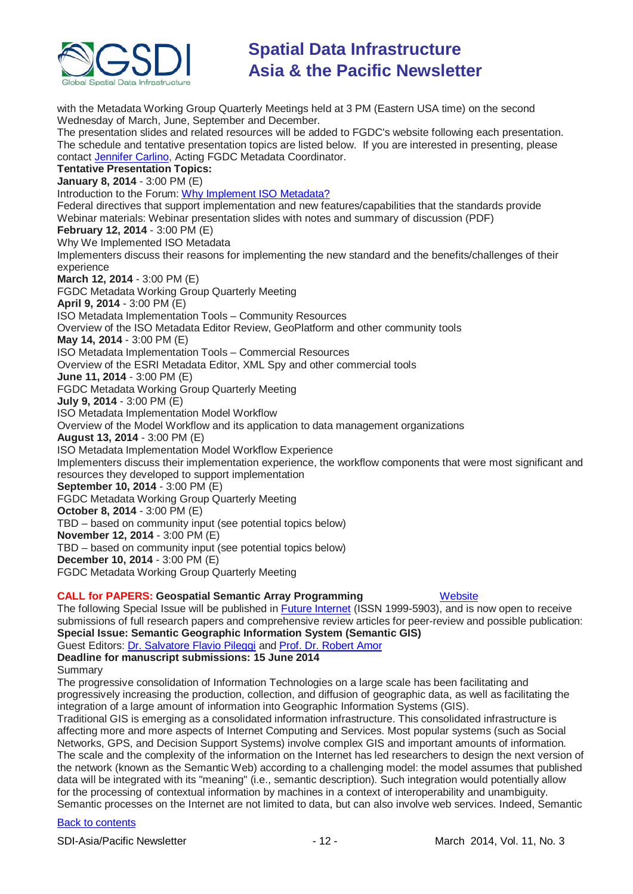

with the Metadata Working Group Quarterly Meetings held at 3 PM (Eastern USA time) on the second Wednesday of March, June, September and December. The presentation slides and related resources will be added to FGDC's website following each presentation. The schedule and tentative presentation topics are listed below. If you are interested in presenting, please contact [Jennifer Carlino,](mailto:jcarlino@usgs.gov) Acting FGDC Metadata Coordinator. **Tentative Presentation Topics: January 8, 2014** - 3:00 PM (E) Introduction to the Forum: [Why Implement ISO Metadata?](http://www.fgdc.gov/metadata/events/iso-geospatial-metadata-implementation-forum/january-2014/fgdcisoforum-welcome-why-iso-summary-20140108.pdf) Federal directives that support implementation and new features/capabilities that the standards provide Webinar materials: Webinar presentation slides with notes and summary of discussion (PDF) **February 12, 2014** - 3:00 PM (E) Why We Implemented ISO Metadata Implementers discuss their reasons for implementing the new standard and the benefits/challenges of their experience **March 12, 2014** - 3:00 PM (E) FGDC Metadata Working Group Quarterly Meeting **April 9, 2014** - 3:00 PM (E) ISO Metadata Implementation Tools – Community Resources Overview of the ISO Metadata Editor Review, GeoPlatform and other community tools **May 14, 2014** - 3:00 PM (E) ISO Metadata Implementation Tools – Commercial Resources Overview of the ESRI Metadata Editor, XML Spy and other commercial tools **June 11, 2014** - 3:00 PM (E) FGDC Metadata Working Group Quarterly Meeting **July 9, 2014** - 3:00 PM (E) ISO Metadata Implementation Model Workflow Overview of the Model Workflow and its application to data management organizations **August 13, 2014** - 3:00 PM (E) ISO Metadata Implementation Model Workflow Experience Implementers discuss their implementation experience, the workflow components that were most significant and resources they developed to support implementation **September 10, 2014** - 3:00 PM (E) FGDC Metadata Working Group Quarterly Meeting **October 8, 2014** - 3:00 PM (E) TBD – based on community input (see potential topics below) **November 12, 2014** - 3:00 PM (E) TBD – based on community input (see potential topics below) **December 10, 2014** - 3:00 PM (E) FGDC Metadata Working Group Quarterly Meeting

# **CALL for PAPERS: Geospatial Semantic Array Programming** [Website](http://www.mdpi.com/si/futureinternet/GIS/)

The following Special Issue will be published in **Future Internet** (ISSN 1999-5903), and is now open to receive submissions of full research papers and comprehensive review articles for peer-review and possible publication: **Special Issue: Semantic Geographic Information System (Semantic GIS)**

Guest Editors: [Dr. Salvatore Flavio Pileggi](mailto:f.pileggi@auckland.ac.nz) and [Prof. Dr. Robert Amor](mailto:trebor@cs.auckland.ac.nz)

# **Deadline for manuscript submissions: 15 June 2014**

Summary

The progressive consolidation of Information Technologies on a large scale has been facilitating and progressively increasing the production, collection, and diffusion of geographic data, as well as facilitating the integration of a large amount of information into Geographic Information Systems (GIS).

Traditional GIS is emerging as a consolidated information infrastructure. This consolidated infrastructure is affecting more and more aspects of Internet Computing and Services. Most popular systems (such as Social Networks, GPS, and Decision Support Systems) involve complex GIS and important amounts of information. The scale and the complexity of the information on the Internet has led researchers to design the next version of the network (known as the Semantic Web) according to a challenging model: the model assumes that published data will be integrated with its "meaning" (i.e., semantic description). Such integration would potentially allow for the processing of contextual information by machines in a context of interoperability and unambiguity. Semantic processes on the Internet are not limited to data, but can also involve web services. Indeed, Semantic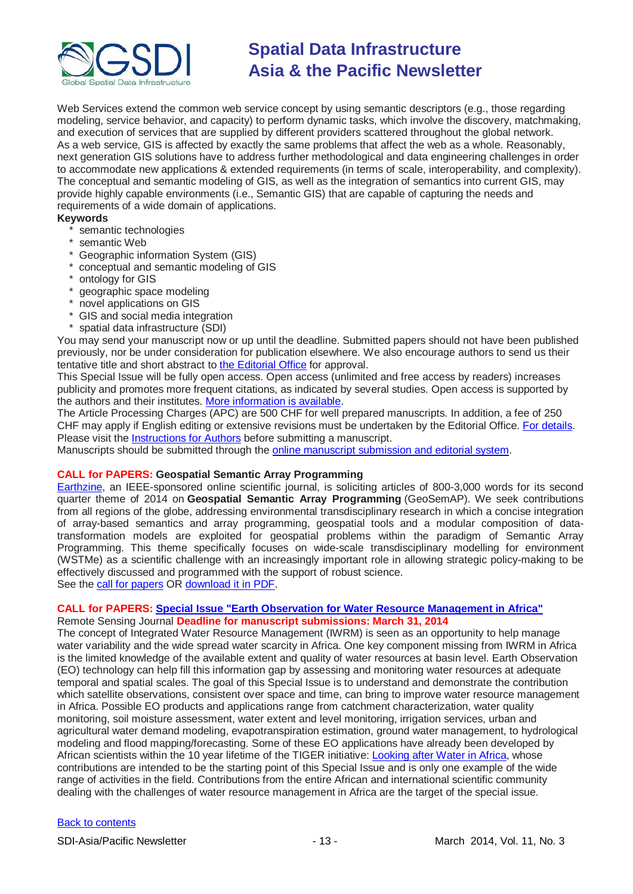

Web Services extend the common web service concept by using semantic descriptors (e.g., those regarding modeling, service behavior, and capacity) to perform dynamic tasks, which involve the discovery, matchmaking, and execution of services that are supplied by different providers scattered throughout the global network. As a web service, GIS is affected by exactly the same problems that affect the web as a whole. Reasonably, next generation GIS solutions have to address further methodological and data engineering challenges in order to accommodate new applications & extended requirements (in terms of scale, interoperability, and complexity). The conceptual and semantic modeling of GIS, as well as the integration of semantics into current GIS, may provide highly capable environments (i.e., Semantic GIS) that are capable of capturing the needs and requirements of a wide domain of applications.

# **Keywords**

- \* semantic technologies
- \* semantic Web
- \* Geographic information System (GIS)
- \* conceptual and semantic modeling of GIS
- \* ontology for GIS
- \* geographic space modeling
- \* novel applications on GIS
- \* GIS and social media integration
- spatial data infrastructure (SDI)

You may send your manuscript now or up until the deadline. Submitted papers should not have been published previously, nor be under consideration for publication elsewhere. We also encourage authors to send us their tentative title and short abstract t[o the Editorial Office](mailto:futureinternet@mdpi.com) for approval.

This Special Issue will be fully open access. Open access (unlimited and free access by readers) increases publicity and promotes more frequent citations, as indicated by several studies. Open access is supported by the authors and their institutes. [More information is available.](http://www.mdpi.com/about/openaccess/)

The Article Processing Charges (APC) are 500 CHF for well prepared manuscripts. In addition, a fee of 250 CHF may apply if English editing or extensive revisions must be undertaken by the Editorial Office. [For details.](http://www.mdpi.com/about/apc/) Please visit the [Instructions for Authors](http://www.mdpi.com/journal/futureinternet/instructions/) before submitting a manuscript.

Manuscripts should be submitted through the [online manuscript submission](http://www.mdpi.com/user/manuscripts/upload/) and editorial system.

# **CALL for PAPERS: Geospatial Semantic Array Programming**

[Earthzine,](http://www.earthzine.org/) an IEEE-sponsored online scientific journal, is soliciting articles of 800-3,000 words for its second quarter theme of 2014 on **Geospatial Semantic Array Programming** (GeoSemAP). We seek contributions from all regions of the globe, addressing environmental transdisciplinary research in which a concise integration of array-based semantics and array programming, geospatial tools and a modular composition of datatransformation models are exploited for geospatial problems within the paradigm of Semantic Array Programming. This theme specifically focuses on wide-scale transdisciplinary modelling for environment (WSTMe) as a scientific challenge with an increasingly important role in allowing strategic policy-making to be effectively discussed and programmed with the support of robust science.

See the [call for papers](http://www.earthzine.org/2013/12/18/call-for-papers-geospatial-semantic-array-programming/) OR [download it in PDF.](http://www.earthzine.org/wp-content/uploads/2013/12/Call-For-Papers-GeoSemAP.pdf)

# **CALL for PAPERS: [Special Issue "Earth Observation for Water Resource Management in Africa"](http://www.mdpi.com/journal/remotesensing/special_issues/water_management_in_africa)**

Remote Sensing Journal **Deadline for manuscript submissions: March 31, 2014**

The concept of Integrated Water Resource Management (IWRM) is seen as an opportunity to help manage water variability and the wide spread water scarcity in Africa. One key component missing from IWRM in Africa is the limited knowledge of the available extent and quality of water resources at basin level. Earth Observation (EO) technology can help fill this information gap by assessing and monitoring water resources at adequate temporal and spatial scales. The goal of this Special Issue is to understand and demonstrate the contribution which satellite observations, consistent over space and time, can bring to improve water resource management in Africa. Possible EO products and applications range from catchment characterization, water quality monitoring, soil moisture assessment, water extent and level monitoring, irrigation services, urban and agricultural water demand modeling, evapotranspiration estimation, ground water management, to hydrological modeling and flood mapping/forecasting. Some of these EO applications have already been developed by African scientists within the 10 year lifetime of the TIGER initiative: [Looking after Water in Africa,](http://www.tiger.esa.int/) whose contributions are intended to be the starting point of this Special Issue and is only one example of the wide range of activities in the field. Contributions from the entire African and international scientific community dealing with the challenges of water resource management in Africa are the target of the special issue.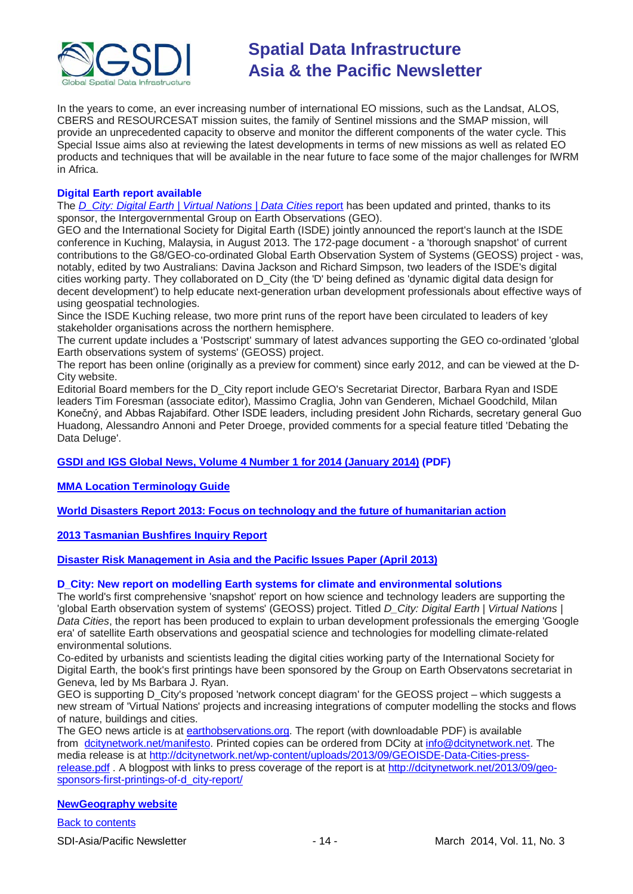

In the years to come, an ever increasing number of international EO missions, such as the Landsat, ALOS, CBERS and RESOURCESAT mission suites, the family of Sentinel missions and the SMAP mission, will provide an unprecedented capacity to observe and monitor the different components of the water cycle. This Special Issue aims also at reviewing the latest developments in terms of new missions as well as related EO products and techniques that will be available in the near future to face some of the major challenges for IWRM in Africa.

# **Digital Earth report available**

The *[D\\_City: Digital Earth | Virtual Nations | Data Cities](http://dcitynetwork.net/manifesto)* report has been updated and printed, thanks to its sponsor, the Intergovernmental Group on Earth Observations (GEO).

GEO and the International Society for Digital Earth (ISDE) jointly announced the report's launch at the ISDE conference in Kuching, Malaysia, in August 2013. The 172-page document - a 'thorough snapshot' of current contributions to the G8/GEO-co-ordinated Global Earth Observation System of Systems (GEOSS) project - was, notably, edited by two Australians: Davina Jackson and Richard Simpson, two leaders of the ISDE's digital cities working party. They collaborated on D\_City (the 'D' being defined as 'dynamic digital data design for decent development') to help educate next-generation urban development professionals about effective ways of using geospatial technologies.

Since the ISDE Kuching release, two more print runs of the report have been circulated to leaders of key stakeholder organisations across the northern hemisphere.

The current update includes a 'Postscript' summary of latest advances supporting the GEO co-ordinated 'global Earth observations system of systems' (GEOSS) project.

The report has been online (originally as a preview for comment) since early 2012, and can be viewed at the D-City website.

Editorial Board members for the D\_City report include GEO's Secretariat Director, Barbara Ryan and ISDE leaders Tim Foresman (associate editor), Massimo Craglia, John van Genderen, Michael Goodchild, Milan Konečný, and Abbas Rajabifard. Other ISDE leaders, including president John Richards, secretary general Guo Huadong, Alessandro Annoni and Peter Droege, provided comments for a special feature titled 'Debating the Data Deluge'.

# **[GSDI and IGS Global News, Volume 4 Number 1 for 2014 \(January 2014\)](http://www.gsdi.org/newsletters#GSDI) (PDF)**

**[MMA Location Terminology Guide](http://www.mmaglobal.com/location-terminology-guide)**

**[World Disasters Report 2013: Focus on technology and the future of humanitarian action](http://www.ifrc.org/PageFiles/134658/WDR%202013%20complete.pdf)**

# **[2013 Tasmanian Bushfires Inquiry Report](http://www.dpac.tas.gov.au/divisions/osem/2013_tasmanian_bushfires_inquiry_report/2013_tasmanian_bushfires_inquiry_report)**

**[Disaster Risk Management in Asia and the Pacific Issues Paper \(April 2013\)](http://www.pacificdisaster.net/pdnadmin/data/original/ADB_2013_DRM_Asia_Pacific.pdf)**

### **D\_City: New report on modelling Earth systems for climate and environmental solutions**

The world's first comprehensive 'snapshot' report on how science and technology leaders are supporting the 'global Earth observation system of systems' (GEOSS) project. Titled *D\_City: Digital Earth | Virtual Nations | Data Cities*, the report has been produced to explain to urban development professionals the emerging 'Google era' of satellite Earth observations and geospatial science and technologies for modelling climate-related environmental solutions.

Co-edited by urbanists and scientists leading the digital cities working party of the International Society for Digital Earth, the book's first printings have been sponsored by the Group on Earth Observatons secretariat in Geneva, led by Ms Barbara J. Ryan.

GEO is supporting D\_City's proposed 'network concept diagram' for the GEOSS project – which suggests a new stream of 'Virtual Nations' projects and increasing integrations of computer modelling the stocks and flows of nature, buildings and cities.

The GEO news article is at [earthobservations.org.](http://earthobservations.org/) The report (with downloadable PDF) is available from [dcitynetwork.net/manifesto.](http://dcitynetwork.net/manifesto) Printed copies can be ordered from DCity at [info@dcitynetwork.net.](mailto:info@dcitynetwork.net) The media release is at [http://dcitynetwork.net/wp-content/uploads/2013/09/GEOISDE-Data-Cities-press](http://dcitynetwork.net/wp-content/uploads/2013/09/GEOISDE-Data-Cities-press-release.pdf)[release.pdf](http://dcitynetwork.net/wp-content/uploads/2013/09/GEOISDE-Data-Cities-press-release.pdf) . A blogpost with links to press coverage of the report is at [http://dcitynetwork.net/2013/09/geo](http://dcitynetwork.net/2013/09/geo-sponsors-first-printings-of-d_city-report/)[sponsors-first-printings-of-d\\_city-report/](http://dcitynetwork.net/2013/09/geo-sponsors-first-printings-of-d_city-report/)

# **[NewGeography website](http://www.newgeography.com/)**

[Back to contents](#page-0-0)

SDI-Asia/Pacific Newsletter 1992 - 14 - 14 - March 2014, Vol. 11, No. 3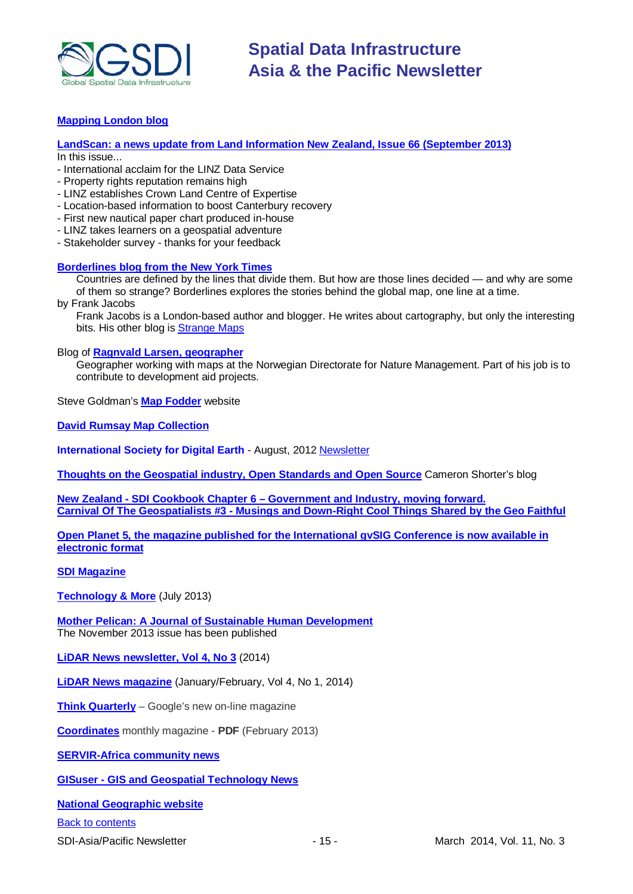

# **[Mapping London blog](http://mappinglondon.co.uk/)**

**[LandScan: a news update from Land Information New Zealand, Issue 66](http://www.linz.govt.nz/sites/default/files/docs/supporting-info/about-linz/publications/landscan-201303.pdf) (September 2013)**

In this issue...

- International acclaim for the LINZ Data Service
- Property rights reputation remains high
- LINZ establishes Crown Land Centre of Expertise
- Location-based information to boost Canterbury recovery
- First new nautical paper chart produced in-house
- LINZ takes learners on a geospatial adventure
- Stakeholder survey thanks for your feedback

# **[Borderlines blog from the New York Times](http://opinionator.blogs.nytimes.com/category/borderlines/)**

Countries are defined by the lines that divide them. But how are those lines decided — and why are some of them so strange? Borderlines explores the stories behind the global map, one line at a time.

by Frank Jacobs

Frank Jacobs is a London-based author and blogger. He writes about cartography, but only the interesting bits. His other blog is [Strange Maps](http://bigthink.com/blogs/strange-maps)

Blog of **[Ragnvald Larsen, geographer](http://www.mindland.com/wp/)**

Geographer working with maps at the Norwegian Directorate for Nature Management. Part of his job is to contribute to development aid projects.

Steve Goldman's **[Map Fodder](http://www.mapfodder.com/index.html)** website

**[David Rumsay Map Collection](http://www.davidrumsey.com/)**

**International Society for Digital Earth** - August, 2012 [Newsletter](http://www.digitalearth-isde.org/news/isde-newsletter(201208).html)

**[Thoughts on the Geospatial industry, Open Standards and Open Source](http://cameronshorter.blogspot.com/2011/06/memoirs-of-cat-herder-coordinating.html)** Cameron Shorter's blog

**New Zealand - SDI Cookbook Chapter 6 – [Government and Industry, moving forward.](http://www.geospatial.govt.nz/sdi-cookbook-chapter-6-government-and-industry-moving-forward) Carnival Of The Geospatialists #3 - [Musings and Down-Right Cool Things Shared by the Geo Faithful](http://www.gisuser.com/content/view/25690/28/)**

**[Open Planet 5, the magazine published for the International gvSIG Conference is now available in](http://jornadas.gvsig.org/descargas/magazine)  [electronic format](http://jornadas.gvsig.org/descargas/magazine)**

**[SDI Magazine](http://www.sdimag.com/)**

**[Technology & More](http://www.trimble.com/technologyandmore/i2-2013/)** (July 2013)

**[Mother Pelican: A Journal of Sustainable Human Development](http://www.pelicanweb.org/solisustv09n11page1.html)** The November 2013 issue has been published

**LiDAR News [newsletter, Vol 4, No 3](http://www.lidarnews.com/newsletter/Vol4No3.htm)** (2014)

**[LiDAR News magazine](http://lidarnews.com/emag/2014/vol4no1/index.html)** (January/February, Vol 4, No 1, 2014)

**[Think Quarterly](http://thinkquarterly.co.uk/#aboutthebook)** – Google's new on-line magazine

**[Coordinates](http://mycoordinates.org/pdf/feb13.pdf)** monthly magazine - **PDF** (February 2013)

**[SERVIR-Africa community news](http://www.servirglobal.net/africa/en/News/CommunityNews.aspx)**

**GISuser - [GIS and Geospatial Technology News](http://www.gisuser.com/)**

**[National Geographic website](http://www.nationalgeographic.com/)**

[Back to contents](#page-0-0)

SDI-Asia/Pacific Newsletter 1992 - 15 - 15 - 15 - March 2014, Vol. 11, No. 3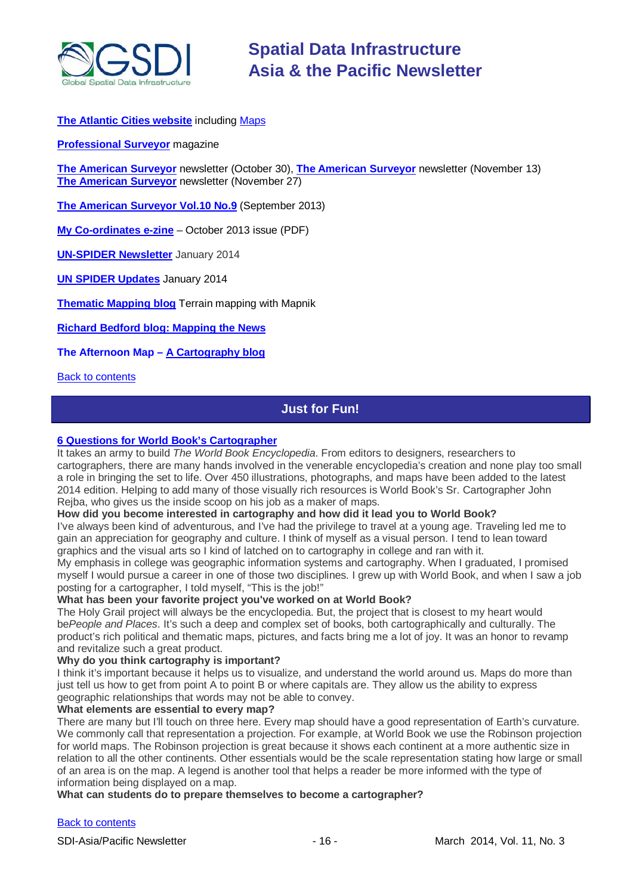

# **[The Atlantic Cities website](http://www.theatlanticcities.com/)** including [Maps](http://www.theatlanticcities.com/posts/map/)

**[Professional Surveyor](http://www.profsurv.com/)** magazine

**[The American Surveyor](http://www.amerisurv.com/newsletter/30OCT2013.htm)** newsletter (October 30), **[The American Surveyor](http://www.amerisurv.com/newsletter/13NOV2013.htm)** newsletter (November 13) **[The American Surveyor](http://www.amerisurv.com/newsletter/27NOV2013.htm)** newsletter (November 27)

**[The American Surveyor Vol.10 No.9](http://amerisurv.com/emag/2013/vol10no9/index.html)** (September 2013)

**[My Co-ordinates e-zine](http://mycoordinates.org/pdf/oct13.pdf)** – October 2013 issue (PDF)

**[UN-SPIDER](http://www.un-spider.org/about/newsletter/un-spider-newsletter-114-space-technologies-united-nations) Newsletter** January 2014

**[UN SPIDER Updates](http://www.un-spider.org/about/updates/un-spider-updates-may-2013)** January 2014

**[Thematic Mapping blog](http://blog.thematicmapping.org/)** Terrain mapping with Mapnik

**[Richard Bedford blog: Mapping the News](http://richybedford.wordpress.com/category/mapping-the-news/)**

**The Afternoon Map – [A Cartography blog](http://www.midafternoonmap.com/)**

<span id="page-15-0"></span>[Back to contents](#page-0-0)

# **Just for Fun!**

# **[6 Questions for World](http://www.worldbookonline.com/training/newsletter/2014/2/) Book's Cartographer**

It takes an army to build *The World Book Encyclopedia*. From editors to designers, researchers to cartographers, there are many hands involved in the venerable encyclopedia's creation and none play too small a role in bringing the set to life. Over 450 illustrations, photographs, and maps have been added to the latest 2014 edition. Helping to add many of those visually rich resources is World Book's Sr. Cartographer John Rejba, who gives us the inside scoop on his job as a maker of maps.

### **How did you become interested in cartography and how did it lead you to World Book?**

I've always been kind of adventurous, and I've had the privilege to travel at a young age. Traveling led me to gain an appreciation for geography and culture. I think of myself as a visual person. I tend to lean toward graphics and the visual arts so I kind of latched on to cartography in college and ran with it.

My emphasis in college was geographic information systems and cartography. When I graduated, I promised myself I would pursue a career in one of those two disciplines. I grew up with World Book, and when I saw a job posting for a cartographer, I told myself, "This is the job!"

# **What has been your favorite project you've worked on at World Book?**

The Holy Grail project will always be the encyclopedia. But, the project that is closest to my heart would be*People and Places*. It's such a deep and complex set of books, both cartographically and culturally. The product's rich political and thematic maps, pictures, and facts bring me a lot of joy. It was an honor to revamp and revitalize such a great product.

# **Why do you think cartography is important?**

I think it's important because it helps us to visualize, and understand the world around us. Maps do more than just tell us how to get from point A to point B or where capitals are. They allow us the ability to express geographic relationships that words may not be able to convey.

### **What elements are essential to every map?**

There are many but I'll touch on three here. Every map should have a good representation of Earth's curvature. We commonly call that representation a projection. For example, at World Book we use the Robinson projection for world maps. The Robinson projection is great because it shows each continent at a more authentic size in relation to all the other continents. Other essentials would be the scale representation stating how large or small of an area is on the map. A legend is another tool that helps a reader be more informed with the type of information being displayed on a map.

# **What can students do to prepare themselves to become a cartographer?**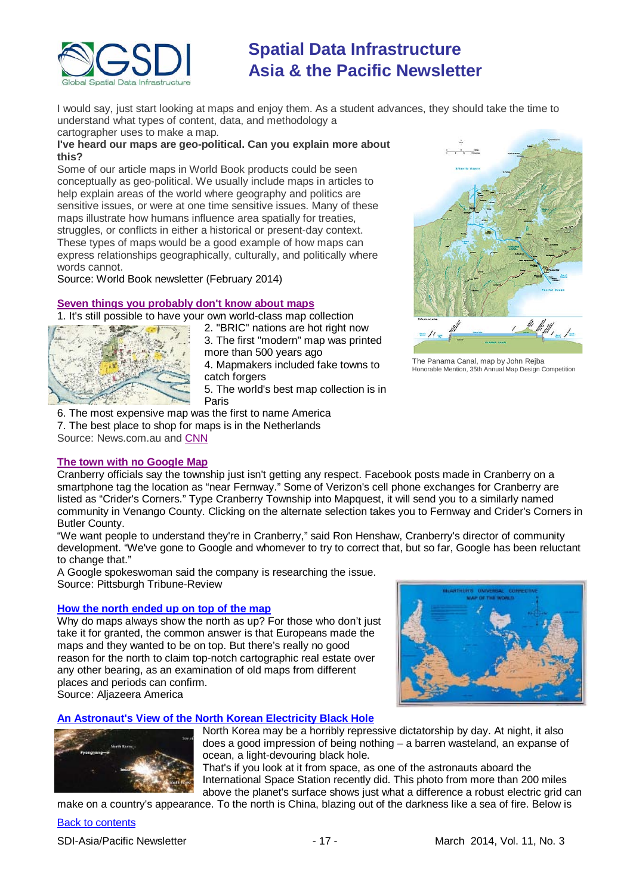

I would say, just start looking at maps and enjoy them. As a student advances, they should take the time to understand what types of content, data, and methodology a cartographer uses to make a map.

# **I've heard our maps are geo-political. Can you explain more about this?**

Some of our article maps in World Book products could be seen conceptually as geo-political. We usually include maps in articles to help explain areas of the world where geography and politics are sensitive issues, or were at one time sensitive issues. Many of these maps illustrate how humans influence area spatially for treaties, struggles, or conflicts in either a historical or present-day context. These types of maps would be a good example of how maps can express relationships geographically, culturally, and politically where words cannot.

Source: World Book newsletter (February 2014)

# **[Seven things you probably don't know about maps](http://www.news.com.au/travel/travel-updates/seven-things-you-probably-dont-know-about-maps/story-e6frfq80-1226816686780)**

1. It's still possible to have your own world-class map collection



2. "BRIC" nations are hot right now 3. The first "modern" map was printed more than 500 years ago

4. Mapmakers included fake towns to catch forgers

5. The world's best map collection is in Paris

6. The most expensive map was the first to name America 7. The best place to shop for maps is in the Netherlands

Source: News.com.au and [CNN](http://edition.cnn.com/2014/02/02/travel/maps-daniel-crouch/)

# **[The town with no Google Map](http://triblive.com/news/butler/5575977-74/cranberry-fernway-township#axzz2tSjZNno0)**



The Panama Canal, map by John Rejba Honorable Mention, 35th Annual Map Design Competition

Cranberry officials say the township just isn't getting any respect. Facebook posts made in Cranberry on a smartphone tag the location as "near Fernway." Some of Verizon's cell phone exchanges for Cranberry are listed as "Crider's Corners." Type Cranberry Township into Mapquest, it will send you to a similarly named community in Venango County. Clicking on the alternate selection takes you to Fernway and Crider's Corners in Butler County.

"We want people to understand they're in Cranberry," said Ron Henshaw, Cranberry's director of community development. "We've gone to Google and whomever to try to correct that, but so far, Google has been reluctant to change that."

A Google spokeswoman said the company is researching the issue. Source: Pittsburgh Tribune-Review

# **[How the north ended up on top of the map](http://america.aljazeera.com/opinions/2014/2/maps-cartographycolonialismnortheurocentricglobe.html)**

Why do maps always show the north as up? For those who don't just take it for granted, the common answer is that Europeans made the maps and they wanted to be on top. But there's really no good reason for the north to claim top-notch cartographic real estate over any other bearing, as an examination of old maps from different places and periods can confirm. Source: Aljazeera America





North Korea may be a horribly repressive dictatorship by day. At night, it also does a good impression of being nothing – a barren wasteland, an expanse of ocean, a light-devouring black hole.

That's if you look at it from space, as one of the astronauts aboard the International Space Station recently did. This photo from more than 200 miles above the planet's surface shows just what a difference a robust electric grid can

make on a country's appearance. To the north is China, blazing out of the darkness like a sea of fire. Below is

# [Back to contents](#page-0-0)

SDI-Asia/Pacific Newsletter 1992 - 17 - 17 - March 2014, Vol. 11, No. 3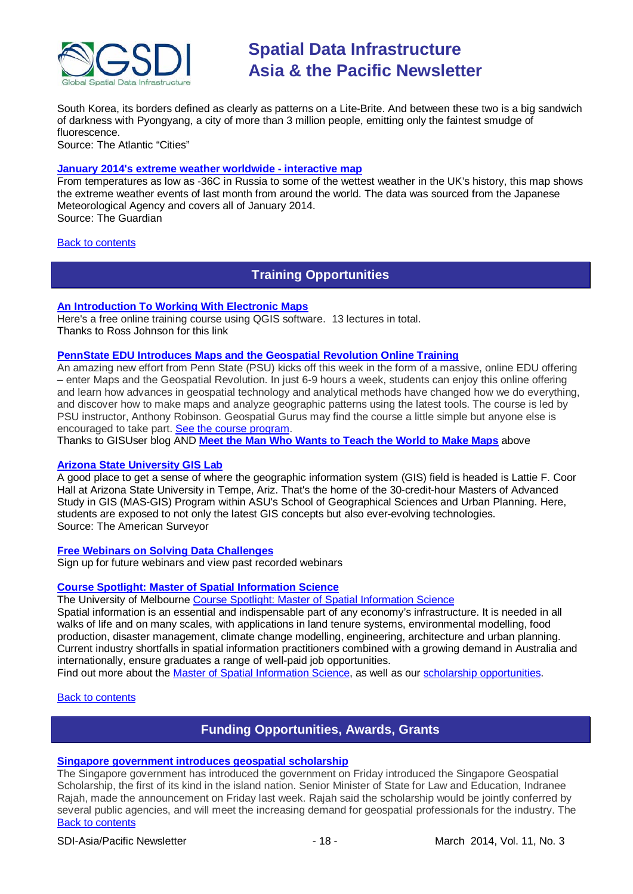

South Korea, its borders defined as clearly as patterns on a Lite-Brite. And between these two is a big sandwich of darkness with Pyongyang, a city of more than 3 million people, emitting only the faintest smudge of fluorescence.

Source: The Atlantic "Cities"

# **[January 2014's extreme weather worldwide -](http://www.theguardian.com/environment/datablog/ng-interactive/2014/feb/25/interactive-map-january-2014-extreme-weather-worldwide) interactive map**

From temperatures as low as -36C in Russia to some of the wettest weather in the UK's history, this map shows the extreme weather events of last month from around the world. The data was sourced from the Japanese Meteorological Agency and covers all of January 2014. Source: The Guardian

<span id="page-17-0"></span>[Back to contents](#page-0-0)

# **Training Opportunities**

**[An Introduction To Working With Electronic Maps](https://www.udemy.com/an-introduction-to-working-with-electronic-maps/)**

Here's a free online training course using QGIS software. 13 lectures in total. Thanks to Ross Johnson for this link

# **[PennState EDU Introduces Maps and the](http://blog.gisuser.com/2013/07/16/pennstate-edu-introduces-maps-and-the-geospatial-revolution-online-training/) Geospatial Revolution Online Training**

An amazing new effort from Penn State (PSU) kicks off this week in the form of a massive, online EDU offering – enter Maps and the Geospatial Revolution. In just 6-9 hours a week, students can enjoy this online offering and learn how advances in geospatial technology and analytical methods have changed how we do everything, and discover how to make maps and analyze geographic patterns using the latest tools. The course is led by PSU instructor, Anthony Robinson. Geospatial Gurus may find the course a little simple but anyone else is encouraged to take part. [See the course program.](https://www.coursera.org/course/maps)

Thanks to GISUser blog AND **[Meet the Man Who Wants to Teach](#page-15-0) the World to Make Maps** above

# **[Arizona State University](http://www.amerisurv.com/content/view/11050/153/) GIS Lab**

A good place to get a sense of where the geographic information system (GIS) field is headed is Lattie F. Coor Hall at Arizona State University in Tempe, Ariz. That's the home of the 30-credit-hour Masters of Advanced Study in GIS (MAS-GIS) Program within ASU's School of Geographical Sciences and Urban Planning. Here, students are exposed to not only the latest GIS concepts but also ever-evolving technologies. Source: The American Surveyor

### **[Free Webinars on Solving Data Challenges](http://www.safe.com/learning/webinars/)**

Sign up for future webinars and view past recorded webinars

### **[Course Spotlight: Master of Spatial Information Science](http://themelbourneengineer.eng.unimelb.edu.au/2012/02/course-spotlight-master-of-spatial-information-science/)**

The University of Melbourne [Course Spotlight: Master of Spatial Information Science](http://themelbourneengineer.eng.unimelb.edu.au/2012/02/course-spotlight-master-of-spatial-information-science/)

Spatial information is an essential and indispensable part of any economy's infrastructure. It is needed in all walks of life and on many scales, with applications in land tenure systems, environmental modelling, food production, disaster management, climate change modelling, engineering, architecture and urban planning. Current industry shortfalls in spatial information practitioners combined with a growing demand in Australia and internationally, ensure graduates a range of well-paid job opportunities.

Find out more about the [Master of Spatial Information Science,](http://www.msi.unimelb.edu.au/study/graduate/master-of-spatial-information-science/) as well as our [scholarship opportunities.](http://www.eng.unimelb.edu.au/study/graduate/scholarships.html)

### <span id="page-17-1"></span>[Back to contents](#page-0-0)

# **Funding Opportunities, Awards, Grants**

### **[Singapore government introduces geospatial scholarship](http://www.channelnewsasia.com/news/singapore/government-introduces/763842.html)**

[Back to contents](#page-0-0) The Singapore government has introduced the government on Friday introduced the Singapore Geospatial Scholarship, the first of its kind in the island nation. Senior Minister of State for Law and Education, Indranee Rajah, made the announcement on Friday last week. Rajah said the scholarship would be jointly conferred by several public agencies, and will meet the increasing demand for geospatial professionals for the industry. The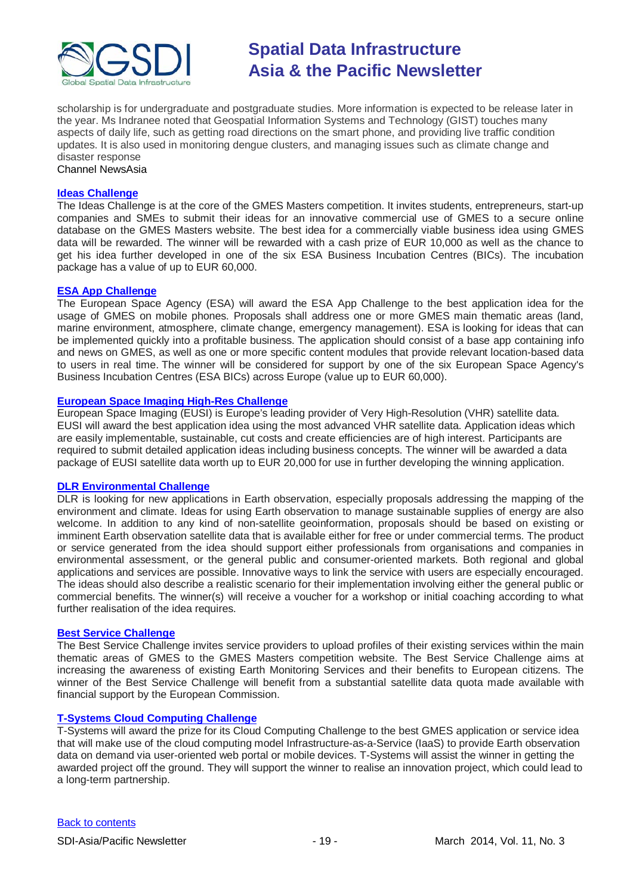

scholarship is for undergraduate and postgraduate studies. More information is expected to be release later in the year. Ms Indranee noted that Geospatial Information Systems and Technology (GIST) touches many aspects of daily life, such as getting road directions on the smart phone, and providing live traffic condition updates. It is also used in monitoring dengue clusters, and managing issues such as climate change and disaster response

Channel NewsAsia

### **[Ideas Challenge](http://www.gmes-masters.com/ideas-challenge)**

The Ideas Challenge is at the core of the GMES Masters competition. It invites students, entrepreneurs, start-up companies and SMEs to submit their ideas for an innovative commercial use of GMES to a secure online database on the GMES Masters website. The best idea for a commercially viable business idea using GMES data will be rewarded. The winner will be rewarded with a cash prize of EUR 10,000 as well as the chance to get his idea further developed in one of the six ESA Business Incubation Centres (BICs). The incubation package has a value of up to EUR 60,000.

# **[ESA App Challenge](http://www.gmes-masters.com/esa-app-challenge)**

The European Space Agency (ESA) will award the ESA App Challenge to the best application idea for the usage of GMES on mobile phones. Proposals shall address one or more GMES main thematic areas (land, marine environment, atmosphere, climate change, emergency management). ESA is looking for ideas that can be implemented quickly into a profitable business. The application should consist of a base app containing info and news on GMES, as well as one or more specific content modules that provide relevant location-based data to users in real time. The winner will be considered for support by one of the six European Space Agency's Business Incubation Centres (ESA BICs) across Europe (value up to EUR 60,000).

# **[European Space Imaging High-Res Challenge](http://www.gmes-masters.com/european-space-0)**

European Space Imaging (EUSI) is Europe's leading provider of Very High-Resolution (VHR) satellite data. EUSI will award the best application idea using the most advanced VHR satellite data. Application ideas which are easily implementable, sustainable, cut costs and create efficiencies are of high interest. Participants are required to submit detailed application ideas including business concepts. The winner will be awarded a data package of EUSI satellite data worth up to EUR 20,000 for use in further developing the winning application.

### **[DLR Environmental Challenge](http://www.gmes-masters.com/dlr-environmental)**

DLR is looking for new applications in Earth observation, especially proposals addressing the mapping of the environment and climate. Ideas for using Earth observation to manage sustainable supplies of energy are also welcome. In addition to any kind of non-satellite geoinformation, proposals should be based on existing or imminent Earth observation satellite data that is available either for free or under commercial terms. The product or service generated from the idea should support either professionals from organisations and companies in environmental assessment, or the general public and consumer-oriented markets. Both regional and global applications and services are possible. Innovative ways to link the service with users are especially encouraged. The ideas should also describe a realistic scenario for their implementation involving either the general public or commercial benefits. The winner(s) will receive a voucher for a workshop or initial coaching according to what further realisation of the idea requires.

### **[Best Service Challenge](http://www.gmes-masters.com/best-service)**

The Best Service Challenge invites service providers to upload profiles of their existing services within the main thematic areas of GMES to the GMES Masters competition website. The Best Service Challenge aims at increasing the awareness of existing Earth Monitoring Services and their benefits to European citizens. The winner of the Best Service Challenge will benefit from a substantial satellite data quota made available with financial support by the European Commission.

### **[T-Systems Cloud Computing Challenge](http://www.gmes-masters.com/t-systems-cloud)**

T-Systems will award the prize for its Cloud Computing Challenge to the best GMES application or service idea that will make use of the cloud computing model Infrastructure-as-a-Service (IaaS) to provide Earth observation data on demand via user-oriented web portal or mobile devices. T-Systems will assist the winner in getting the awarded project off the ground. They will support the winner to realise an innovation project, which could lead to a long-term partnership.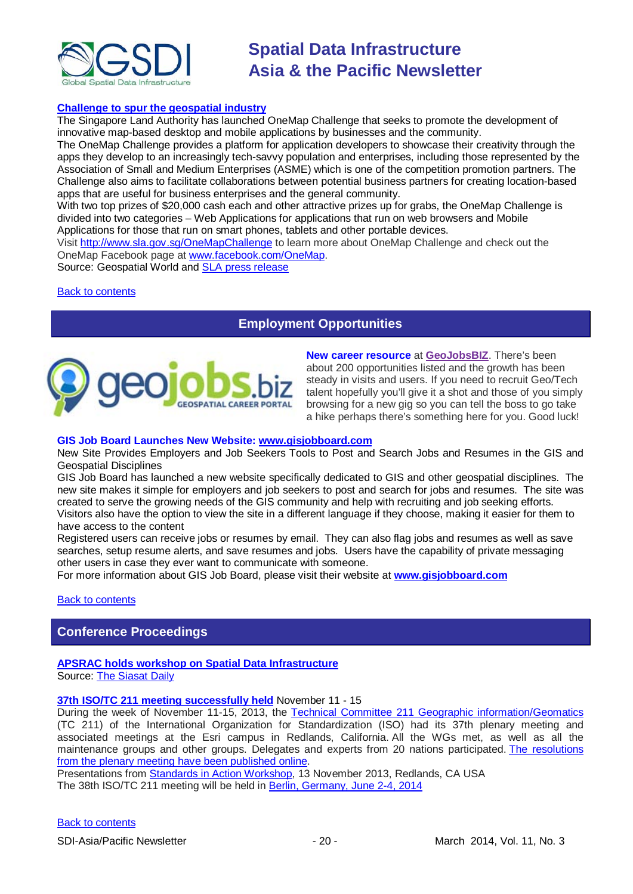

# **[Challenge to spur the geospatial industry](http://geospatialworld.net/index.php?option=com_content&view=article&id=23850:challenge-to-spur-the-geospatial-industry&catid=75:miscellaneous-events)**

The Singapore Land Authority has launched OneMap Challenge that seeks to promote the development of innovative map-based desktop and mobile applications by businesses and the community.

The OneMap Challenge provides a platform for application developers to showcase their creativity through the apps they develop to an increasingly tech-savvy population and enterprises, including those represented by the Association of Small and Medium Enterprises (ASME) which is one of the competition promotion partners. The Challenge also aims to facilitate collaborations between potential business partners for creating location-based apps that are useful for business enterprises and the general community.

With two top prizes of \$20,000 cash each and other attractive prizes up for grabs, the OneMap Challenge is divided into two categories – Web Applications for applications that run on web browsers and Mobile Applications for those that run on smart phones, tablets and other portable devices.

Visit <http://www.sla.gov.sg/OneMapChallenge> to learn more about OneMap Challenge and check out the OneMap Facebook page at [www.facebook.com/OneMap.](http://www.facebook.com/OneMap)

Source: Geospatial World and **SLA press release** 

# <span id="page-19-0"></span>[Back to contents](#page-0-0)

# **Employment Opportunities**



**New career resource** at **[GeoJobsBIZ](http://geojobs.biz/)**. There's been about 200 opportunities listed and the growth has been steady in visits and users. If you need to recruit Geo/Tech talent hopefully you'll give it a shot and those of you simply browsing for a new gig so you can tell the boss to go take a hike perhaps there's something here for you. Good luck!

#### **GIS Job Board Launches New Website: [www.gisjobboard.com](http://www.gisjobboard.com/)**

New Site Provides Employers and Job Seekers Tools to Post and Search Jobs and Resumes in the GIS and Geospatial Disciplines

GIS Job Board has launched a new website specifically dedicated to GIS and other geospatial disciplines. The new site makes it simple for employers and job seekers to post and search for jobs and resumes. The site was created to serve the growing needs of the GIS community and help with recruiting and job seeking efforts. Visitors also have the option to view the site in a different language if they choose, making it easier for them to have access to the content

Registered users can receive jobs or resumes by email. They can also flag jobs and resumes as well as save searches, setup resume alerts, and save resumes and jobs. Users have the capability of private messaging other users in case they ever want to communicate with someone.

<span id="page-19-1"></span>For more information about GIS Job Board, please visit their website at **[www.gisjobboard.com](http://www.gisjobboard.com/)**

[Back to contents](#page-0-0)

# **Conference Proceedings**

#### **[APSRAC holds workshop on Spatial Data Infrastructure](http://www.siasat.com/english/news/apsrac-holds-workshop-spatial-data-infrastructure)** Source: [The Siasat Daily](http://www.siasat.com/)

### **[37th ISO/TC 211 meeting successfully held](http://www.isotc211.org/News_archive/Redlands.htm)** November 11 - 15

During the week of November 11-15, 2013, the [Technical Committee 211 Geographic information/Geomatics](http://www.isotc211.org/) (TC 211) of the International Organization for Standardization (ISO) had its 37th plenary meeting and associated meetings at the Esri campus in Redlands, California. All the WGs met, as well as all the maintenance groups and other groups. Delegates and experts from 20 nations participated. [The resolutions](http://www.isotc211.org/opendoc/211n3671/ISO-TC211-N3671_Resolutions_37th_meeting_Redlands_2013-11-15.pdf)  [from the plenary meeting have been published online.](http://www.isotc211.org/opendoc/211n3671/ISO-TC211-N3671_Resolutions_37th_meeting_Redlands_2013-11-15.pdf)

Presentations from [Standards in Action Workshop,](http://www.isotc211.org/Workshop_Redlands/Redlands-Standards_in_action_workshop.pdf) 13 November 2013, Redlands, CA USA The 38th ISO/TC 211 meeting will be held in [Berlin, Germany,](http://www.isotc211.org/Berlin/Berlin_2014.pdf) June 2-4, 2014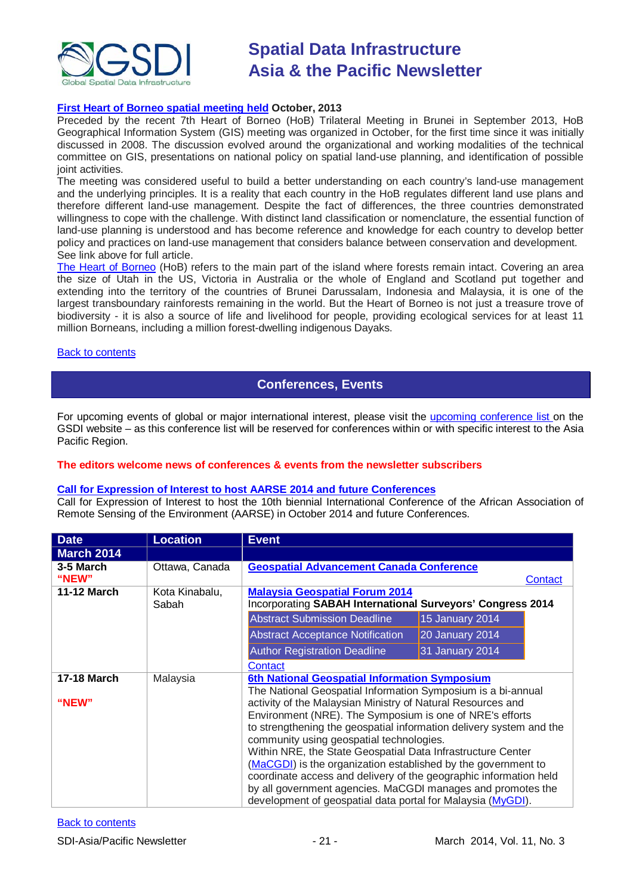

# **[First Heart of Borneo spatial meeting held](http://wwf.panda.org/?212013/The-First-Heart-of-Borneo-Spatial-Meeting) October, 2013**

Preceded by the recent 7th Heart of Borneo (HoB) Trilateral Meeting in Brunei in September 2013, HoB Geographical Information System (GIS) meeting was organized in October, for the first time since it was initially discussed in 2008. The discussion evolved around the organizational and working modalities of the technical committee on GIS, presentations on national policy on spatial land-use planning, and identification of possible joint activities.

The meeting was considered useful to build a better understanding on each country's land-use management and the underlying principles. It is a reality that each country in the HoB regulates different land use plans and therefore different land-use management. Despite the fact of differences, the three countries demonstrated willingness to cope with the challenge. With distinct land classification or nomenclature, the essential function of land-use planning is understood and has become reference and knowledge for each country to develop better policy and practices on land-use management that considers balance between conservation and development. See link above for full article.

[The Heart of Borneo](http://wwf.panda.org/what_we_do/where_we_work/borneo_forests/) (HoB) refers to the main part of the island where forests remain intact. Covering an area the size of Utah in the US, Victoria in Australia or the whole of England and Scotland put together and extending into the territory of the countries of Brunei Darussalam, Indonesia and Malaysia, it is one of the largest transboundary rainforests remaining in the world. But the Heart of Borneo is not just a treasure trove of biodiversity - it is also a source of life and livelihood for people, providing ecological services for at least 11 million Borneans, including a million forest-dwelling indigenous Dayaks.

### <span id="page-20-0"></span>**[Back to contents](#page-0-0)**

# **Conferences, Events**

For upcoming events of global or major international interest, please visit the [upcoming conference list o](http://gsdi.org/events/upcnf.asp)n the GSDI website – as this conference list will be reserved for conferences within or with specific interest to the Asia Pacific Region.

### **The editors welcome news of conferences & events from the newsletter subscribers**

### **[Call for Expression of Interest to host AARSE 2014 and future Conferences](http://lists.gsdi.org/pipermail/sdi-africa/2010-November/001135.html)**

Call for Expression of Interest to host the 10th biennial International Conference of the African Association of Remote Sensing of the Environment (AARSE) in October 2014 and future Conferences.

| <b>Date</b>        | <b>Location</b>         | <b>Event</b>                                                        |                 |
|--------------------|-------------------------|---------------------------------------------------------------------|-----------------|
| <b>March 2014</b>  |                         |                                                                     |                 |
| 3-5 March          | Ottawa, Canada          | <b>Geospatial Advancement Canada Conference</b>                     |                 |
| "NEW"              |                         |                                                                     | Contact         |
| <b>11-12 March</b> | Kota Kinabalu,<br>Sabah | <b>Malaysia Geospatial Forum 2014</b>                               |                 |
|                    |                         | Incorporating SABAH International Surveyors' Congress 2014          |                 |
|                    |                         | <b>Abstract Submission Deadline</b>                                 | 15 January 2014 |
|                    |                         | <b>Abstract Acceptance Notification</b>                             | 20 January 2014 |
|                    |                         | <b>Author Registration Deadline</b>                                 | 31 January 2014 |
|                    |                         | Contact                                                             |                 |
| <b>17-18 March</b> | Malaysia                | 6th National Geospatial Information Symposium                       |                 |
|                    |                         | The National Geospatial Information Symposium is a bi-annual        |                 |
| "NEW"              |                         | activity of the Malaysian Ministry of Natural Resources and         |                 |
|                    |                         | Environment (NRE). The Symposium is one of NRE's efforts            |                 |
|                    |                         | to strengthening the geospatial information delivery system and the |                 |
|                    |                         | community using geospatial technologies.                            |                 |
|                    |                         | Within NRE, the State Geospatial Data Infrastructure Center         |                 |
|                    |                         | (MaCGDI) is the organization established by the government to       |                 |
|                    |                         | coordinate access and delivery of the geographic information held   |                 |
|                    |                         | by all government agencies. MaCGDI manages and promotes the         |                 |
|                    |                         | development of geospatial data portal for Malaysia (MyGDI).         |                 |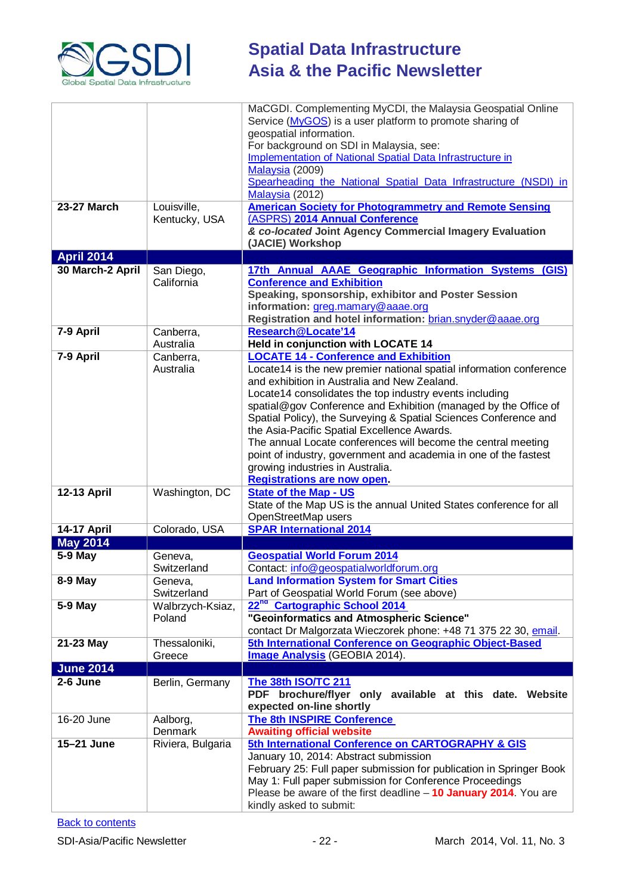

|                    |                          | MaCGDI. Complementing MyCDI, the Malaysia Geospatial Online                                                 |
|--------------------|--------------------------|-------------------------------------------------------------------------------------------------------------|
|                    |                          | Service (MyGOS) is a user platform to promote sharing of                                                    |
|                    |                          | geospatial information.                                                                                     |
|                    |                          | For background on SDI in Malaysia, see:                                                                     |
|                    |                          | Implementation of National Spatial Data Infrastructure in                                                   |
|                    |                          | Malaysia (2009)                                                                                             |
|                    |                          | Spearheading the National Spatial Data Infrastructure (NSDI) in<br>Malaysia (2012)                          |
| <b>23-27 March</b> | Louisville,              | <b>American Society for Photogrammetry and Remote Sensing</b>                                               |
|                    | Kentucky, USA            | (ASPRS) 2014 Annual Conference                                                                              |
|                    |                          | & co-located Joint Agency Commercial Imagery Evaluation                                                     |
|                    |                          | (JACIE) Workshop                                                                                            |
| <b>April 2014</b>  |                          |                                                                                                             |
| 30 March-2 April   | San Diego,<br>California | 17th Annual AAAE Geographic Information Systems (GIS)<br><b>Conference and Exhibition</b>                   |
|                    |                          | Speaking, sponsorship, exhibitor and Poster Session                                                         |
|                    |                          | information: greg.mamary@aaae.org                                                                           |
|                    |                          | Registration and hotel information: brian.snyder@aaae.org                                                   |
| 7-9 April          | Canberra,                | Research@Locate'14                                                                                          |
|                    | Australia                | Held in conjunction with LOCATE 14                                                                          |
| 7-9 April          | Canberra,                | <b>LOCATE 14 - Conference and Exhibition</b>                                                                |
|                    | Australia                | Locate14 is the new premier national spatial information conference                                         |
|                    |                          | and exhibition in Australia and New Zealand.                                                                |
|                    |                          | Locate14 consolidates the top industry events including                                                     |
|                    |                          | spatial@gov Conference and Exhibition (managed by the Office of                                             |
|                    |                          | Spatial Policy), the Surveying & Spatial Sciences Conference and                                            |
|                    |                          | the Asia-Pacific Spatial Excellence Awards.                                                                 |
|                    |                          | The annual Locate conferences will become the central meeting                                               |
|                    |                          | point of industry, government and academia in one of the fastest<br>growing industries in Australia.        |
|                    |                          | <b>Registrations are now open.</b>                                                                          |
| <b>12-13 April</b> | Washington, DC           | <b>State of the Map - US</b>                                                                                |
|                    |                          | State of the Map US is the annual United States conference for all                                          |
|                    |                          | OpenStreetMap users                                                                                         |
| 14-17 April        | Colorado, USA            | <b>SPAR International 2014</b>                                                                              |
| <b>May 2014</b>    |                          |                                                                                                             |
| 5-9 May            | Geneva,                  | <b>Geospatial World Forum 2014</b>                                                                          |
|                    | Switzerland              | Contact: info@geospatialworldforum.org                                                                      |
| 8-9 May            | Geneva,                  | <b>Land Information System for Smart Cities</b>                                                             |
|                    | Switzerland              | Part of Geospatial World Forum (see above)                                                                  |
| 5-9 May            | Walbrzych-Ksiaz,         | 22 <sup>nd</sup> Cartographic School 2014                                                                   |
|                    | Poland                   | "Geoinformatics and Atmospheric Science"<br>contact Dr Malgorzata Wieczorek phone: +48 71 375 22 30, email. |
| 21-23 May          | Thessaloniki,            | 5th International Conference on Geographic Object-Based                                                     |
|                    | Greece                   | Image Analysis (GEOBIA 2014).                                                                               |
| <b>June 2014</b>   |                          |                                                                                                             |
| 2-6 June           | Berlin, Germany          | The 38th ISO/TC 211                                                                                         |
|                    |                          | brochure/flyer only available at this date. Website<br><b>PDF</b>                                           |
|                    |                          | expected on-line shortly                                                                                    |
| 16-20 June         | Aalborg,                 | The 8th INSPIRE Conference                                                                                  |
|                    | Denmark                  | <b>Awaiting official website</b>                                                                            |
| 15-21 June         | Riviera, Bulgaria        | 5th International Conference on CARTOGRAPHY & GIS                                                           |
|                    |                          | January 10, 2014: Abstract submission                                                                       |
|                    |                          | February 25: Full paper submission for publication in Springer Book                                         |
|                    |                          | May 1: Full paper submission for Conference Proceedings                                                     |
|                    |                          | Please be aware of the first deadline $-10$ January 2014. You are                                           |
|                    |                          | kindly asked to submit:                                                                                     |